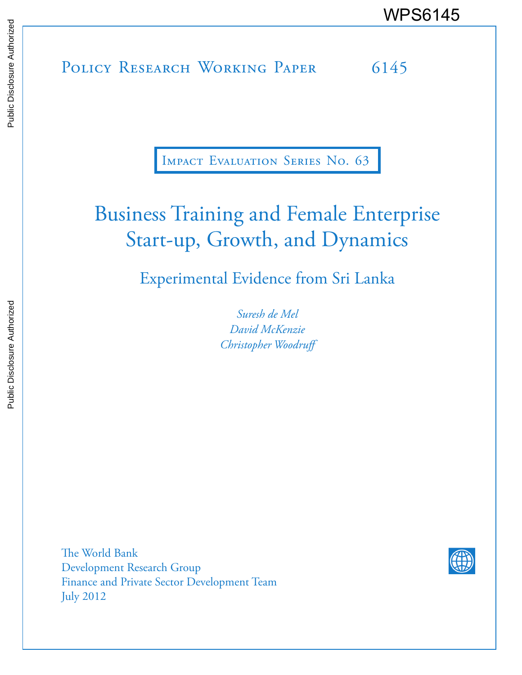# POLICY RESEARCH WORKING PAPER 6145 WPS6145

Impact Evaluation Series No. 63

# Business Training and Female Enterprise Start-up, Growth, and Dynamics

Experimental Evidence from Sri Lanka

*Suresh de Mel David McKenzie Christopher Woodruff* 

The World Bank Development Research Group Finance and Private Sector Development Team July 2012

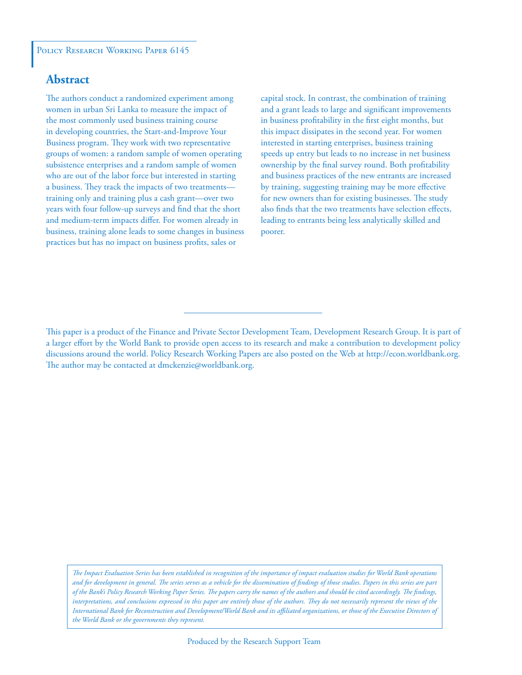## **Abstract**

The authors conduct a randomized experiment among women in urban Sri Lanka to measure the impact of the most commonly used business training course in developing countries, the Start-and-Improve Your Business program. They work with two representative groups of women: a random sample of women operating subsistence enterprises and a random sample of women who are out of the labor force but interested in starting a business. They track the impacts of two treatments training only and training plus a cash grant—over two years with four follow-up surveys and find that the short and medium-term impacts differ. For women already in business, training alone leads to some changes in business practices but has no impact on business profits, sales or

capital stock. In contrast, the combination of training and a grant leads to large and significant improvements in business profitability in the first eight months, but this impact dissipates in the second year. For women interested in starting enterprises, business training speeds up entry but leads to no increase in net business ownership by the final survey round. Both profitability and business practices of the new entrants are increased by training, suggesting training may be more effective for new owners than for existing businesses. The study also finds that the two treatments have selection effects, leading to entrants being less analytically skilled and poorer.

*The Impact Evaluation Series has been established in recognition of the importance of impact evaluation studies for World Bank operations and for development in general. The series serves as a vehicle for the dissemination of findings of those studies. Papers in this series are part of the Bank's Policy Research Working Paper Series. The papers carry the names of the authors and should be cited accordingly. The findings, interpretations, and conclusions expressed in this paper are entirely those of the authors. They do not necessarily represent the views of the International Bank for Reconstruction and Development/World Bank and its affiliated organizations, or those of the Executive Directors of the World Bank or the governments they represent.*

This paper is a product of the Finance and Private Sector Development Team, Development Research Group. It is part of a larger effort by the World Bank to provide open access to its research and make a contribution to development policy discussions around the world. Policy Research Working Papers are also posted on the Web at http://econ.worldbank.org. The author may be contacted at dmckenzie@worldbank.org.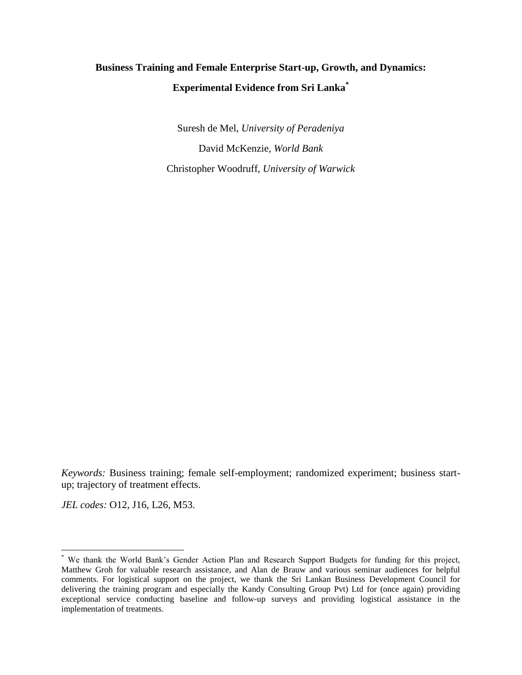# **Business Training and Female Enterprise Start-up, Growth, and Dynamics: Experimental Evidence from Sri Lanka\***

Suresh de Mel, *University of Peradeniya*  David McKenzie, *World Bank*  Christopher Woodruff, *University of Warwick* 

*Keywords:* Business training; female self-employment; randomized experiment; business startup; trajectory of treatment effects.

*JEL codes:* O12, J16, L26, M53.

l

<sup>\*</sup> We thank the World Bank's Gender Action Plan and Research Support Budgets for funding for this project, Matthew Groh for valuable research assistance, and Alan de Brauw and various seminar audiences for helpful comments. For logistical support on the project, we thank the Sri Lankan Business Development Council for delivering the training program and especially the Kandy Consulting Group Pvt) Ltd for (once again) providing exceptional service conducting baseline and follow-up surveys and providing logistical assistance in the implementation of treatments.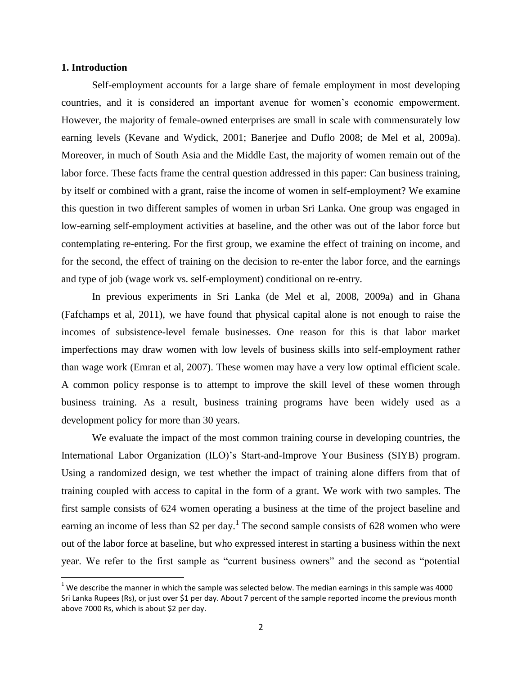#### **1. Introduction**

 $\overline{\phantom{a}}$ 

Self-employment accounts for a large share of female employment in most developing countries, and it is considered an important avenue for women's economic empowerment. However, the majority of female-owned enterprises are small in scale with commensurately low earning levels (Kevane and Wydick, 2001; Banerjee and Duflo 2008; de Mel et al, 2009a). Moreover, in much of South Asia and the Middle East, the majority of women remain out of the labor force. These facts frame the central question addressed in this paper: Can business training, by itself or combined with a grant, raise the income of women in self-employment? We examine this question in two different samples of women in urban Sri Lanka. One group was engaged in low-earning self-employment activities at baseline, and the other was out of the labor force but contemplating re-entering. For the first group, we examine the effect of training on income, and for the second, the effect of training on the decision to re-enter the labor force, and the earnings and type of job (wage work vs. self-employment) conditional on re-entry.

In previous experiments in Sri Lanka (de Mel et al, 2008, 2009a) and in Ghana (Fafchamps et al, 2011), we have found that physical capital alone is not enough to raise the incomes of subsistence-level female businesses. One reason for this is that labor market imperfections may draw women with low levels of business skills into self-employment rather than wage work (Emran et al, 2007). These women may have a very low optimal efficient scale. A common policy response is to attempt to improve the skill level of these women through business training. As a result, business training programs have been widely used as a development policy for more than 30 years.

We evaluate the impact of the most common training course in developing countries, the International Labor Organization (ILO)'s Start-and-Improve Your Business (SIYB) program. Using a randomized design, we test whether the impact of training alone differs from that of training coupled with access to capital in the form of a grant. We work with two samples. The first sample consists of 624 women operating a business at the time of the project baseline and earning an income of less than \$2 per day.<sup>1</sup> The second sample consists of 628 women who were out of the labor force at baseline, but who expressed interest in starting a business within the next year. We refer to the first sample as "current business owners" and the second as "potential

 $<sup>1</sup>$  We describe the manner in which the sample was selected below. The median earnings in this sample was 4000</sup> Sri Lanka Rupees (Rs), or just over \$1 per day. About 7 percent of the sample reported income the previous month above 7000 Rs, which is about \$2 per day.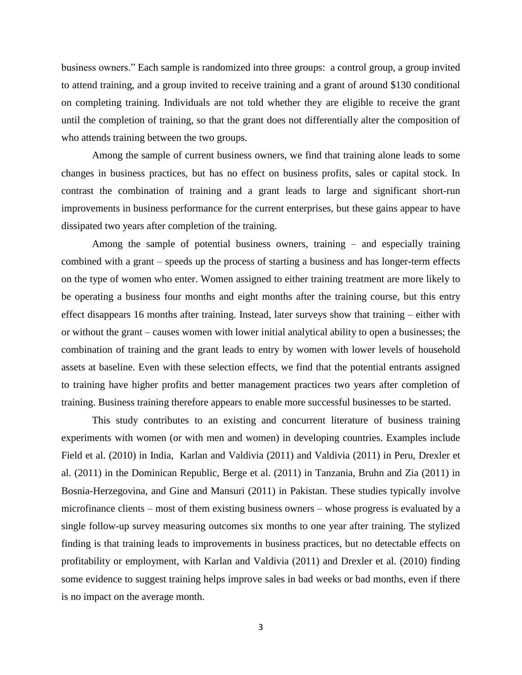business owners." Each sample is randomized into three groups: a control group, a group invited to attend training, and a group invited to receive training and a grant of around \$130 conditional on completing training. Individuals are not told whether they are eligible to receive the grant until the completion of training, so that the grant does not differentially alter the composition of who attends training between the two groups.

Among the sample of current business owners, we find that training alone leads to some changes in business practices, but has no effect on business profits, sales or capital stock. In contrast the combination of training and a grant leads to large and significant short-run improvements in business performance for the current enterprises, but these gains appear to have dissipated two years after completion of the training.

Among the sample of potential business owners, training – and especially training combined with a grant – speeds up the process of starting a business and has longer-term effects on the type of women who enter. Women assigned to either training treatment are more likely to be operating a business four months and eight months after the training course, but this entry effect disappears 16 months after training. Instead, later surveys show that training – either with or without the grant – causes women with lower initial analytical ability to open a businesses; the combination of training and the grant leads to entry by women with lower levels of household assets at baseline. Even with these selection effects, we find that the potential entrants assigned to training have higher profits and better management practices two years after completion of training. Business training therefore appears to enable more successful businesses to be started.

This study contributes to an existing and concurrent literature of business training experiments with women (or with men and women) in developing countries. Examples include Field et al. (2010) in India, Karlan and Valdivia (2011) and Valdivia (2011) in Peru, Drexler et al. (2011) in the Dominican Republic, Berge et al. (2011) in Tanzania, Bruhn and Zia (2011) in Bosnia-Herzegovina, and Gine and Mansuri (2011) in Pakistan. These studies typically involve microfinance clients – most of them existing business owners – whose progress is evaluated by a single follow-up survey measuring outcomes six months to one year after training. The stylized finding is that training leads to improvements in business practices, but no detectable effects on profitability or employment, with Karlan and Valdivia (2011) and Drexler et al. (2010) finding some evidence to suggest training helps improve sales in bad weeks or bad months, even if there is no impact on the average month.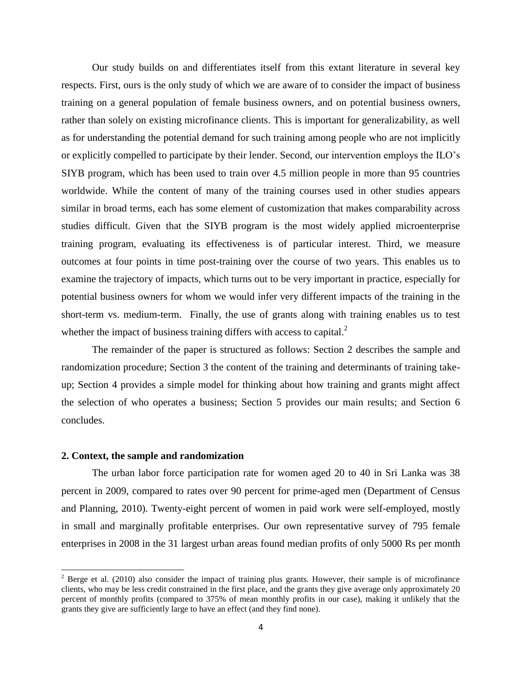Our study builds on and differentiates itself from this extant literature in several key respects. First, ours is the only study of which we are aware of to consider the impact of business training on a general population of female business owners, and on potential business owners, rather than solely on existing microfinance clients. This is important for generalizability, as well as for understanding the potential demand for such training among people who are not implicitly or explicitly compelled to participate by their lender. Second, our intervention employs the ILO's SIYB program, which has been used to train over 4.5 million people in more than 95 countries worldwide. While the content of many of the training courses used in other studies appears similar in broad terms, each has some element of customization that makes comparability across studies difficult. Given that the SIYB program is the most widely applied microenterprise training program, evaluating its effectiveness is of particular interest. Third, we measure outcomes at four points in time post-training over the course of two years. This enables us to examine the trajectory of impacts, which turns out to be very important in practice, especially for potential business owners for whom we would infer very different impacts of the training in the short-term vs. medium-term. Finally, the use of grants along with training enables us to test whether the impact of business training differs with access to capital. $2^2$ 

The remainder of the paper is structured as follows: Section 2 describes the sample and randomization procedure; Section 3 the content of the training and determinants of training takeup; Section 4 provides a simple model for thinking about how training and grants might affect the selection of who operates a business; Section 5 provides our main results; and Section 6 concludes.

#### **2. Context, the sample and randomization**

 $\overline{\phantom{a}}$ 

The urban labor force participation rate for women aged 20 to 40 in Sri Lanka was 38 percent in 2009, compared to rates over 90 percent for prime-aged men (Department of Census and Planning, 2010). Twenty-eight percent of women in paid work were self-employed, mostly in small and marginally profitable enterprises. Our own representative survey of 795 female enterprises in 2008 in the 31 largest urban areas found median profits of only 5000 Rs per month

 $2^2$  Berge et al. (2010) also consider the impact of training plus grants. However, their sample is of microfinance clients, who may be less credit constrained in the first place, and the grants they give average only approximately 20 percent of monthly profits (compared to 375% of mean monthly profits in our case), making it unlikely that the grants they give are sufficiently large to have an effect (and they find none).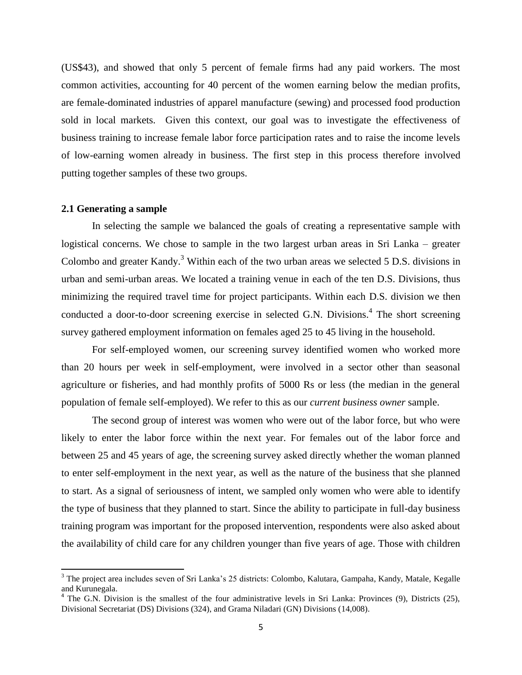(US\$43), and showed that only 5 percent of female firms had any paid workers. The most common activities, accounting for 40 percent of the women earning below the median profits, are female-dominated industries of apparel manufacture (sewing) and processed food production sold in local markets. Given this context, our goal was to investigate the effectiveness of business training to increase female labor force participation rates and to raise the income levels of low-earning women already in business. The first step in this process therefore involved putting together samples of these two groups.

#### **2.1 Generating a sample**

 $\overline{\phantom{a}}$ 

In selecting the sample we balanced the goals of creating a representative sample with logistical concerns. We chose to sample in the two largest urban areas in Sri Lanka – greater Colombo and greater Kandy.<sup>3</sup> Within each of the two urban areas we selected  $5$  D.S. divisions in urban and semi-urban areas. We located a training venue in each of the ten D.S. Divisions, thus minimizing the required travel time for project participants. Within each D.S. division we then conducted a door-to-door screening exercise in selected G.N. Divisions.<sup>4</sup> The short screening survey gathered employment information on females aged 25 to 45 living in the household.

For self-employed women, our screening survey identified women who worked more than 20 hours per week in self-employment, were involved in a sector other than seasonal agriculture or fisheries, and had monthly profits of 5000 Rs or less (the median in the general population of female self-employed). We refer to this as our *current business owner* sample.

The second group of interest was women who were out of the labor force, but who were likely to enter the labor force within the next year. For females out of the labor force and between 25 and 45 years of age, the screening survey asked directly whether the woman planned to enter self-employment in the next year, as well as the nature of the business that she planned to start. As a signal of seriousness of intent, we sampled only women who were able to identify the type of business that they planned to start. Since the ability to participate in full-day business training program was important for the proposed intervention, respondents were also asked about the availability of child care for any children younger than five years of age. Those with children

<sup>&</sup>lt;sup>3</sup> The project area includes seven of Sri Lanka's 25 districts: Colombo, Kalutara, Gampaha, Kandy, Matale, Kegalle and Kurunegala.

 $4$  The G.N. Division is the smallest of the four administrative levels in Sri Lanka: Provinces (9), Districts (25), Divisional Secretariat (DS) Divisions (324), and Grama Niladari (GN) Divisions (14,008).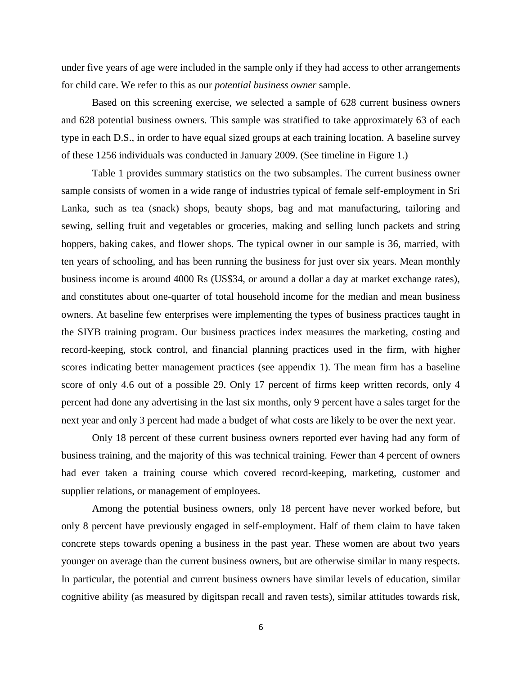under five years of age were included in the sample only if they had access to other arrangements for child care. We refer to this as our *potential business owner* sample.

Based on this screening exercise, we selected a sample of 628 current business owners and 628 potential business owners. This sample was stratified to take approximately 63 of each type in each D.S., in order to have equal sized groups at each training location. A baseline survey of these 1256 individuals was conducted in January 2009. (See timeline in Figure 1.)

Table 1 provides summary statistics on the two subsamples. The current business owner sample consists of women in a wide range of industries typical of female self-employment in Sri Lanka, such as tea (snack) shops, beauty shops, bag and mat manufacturing, tailoring and sewing, selling fruit and vegetables or groceries, making and selling lunch packets and string hoppers, baking cakes, and flower shops. The typical owner in our sample is 36, married, with ten years of schooling, and has been running the business for just over six years. Mean monthly business income is around 4000 Rs (US\$34, or around a dollar a day at market exchange rates), and constitutes about one-quarter of total household income for the median and mean business owners. At baseline few enterprises were implementing the types of business practices taught in the SIYB training program. Our business practices index measures the marketing, costing and record-keeping, stock control, and financial planning practices used in the firm, with higher scores indicating better management practices (see appendix 1). The mean firm has a baseline score of only 4.6 out of a possible 29. Only 17 percent of firms keep written records, only 4 percent had done any advertising in the last six months, only 9 percent have a sales target for the next year and only 3 percent had made a budget of what costs are likely to be over the next year.

Only 18 percent of these current business owners reported ever having had any form of business training, and the majority of this was technical training. Fewer than 4 percent of owners had ever taken a training course which covered record-keeping, marketing, customer and supplier relations, or management of employees.

Among the potential business owners, only 18 percent have never worked before, but only 8 percent have previously engaged in self-employment. Half of them claim to have taken concrete steps towards opening a business in the past year. These women are about two years younger on average than the current business owners, but are otherwise similar in many respects. In particular, the potential and current business owners have similar levels of education, similar cognitive ability (as measured by digitspan recall and raven tests), similar attitudes towards risk,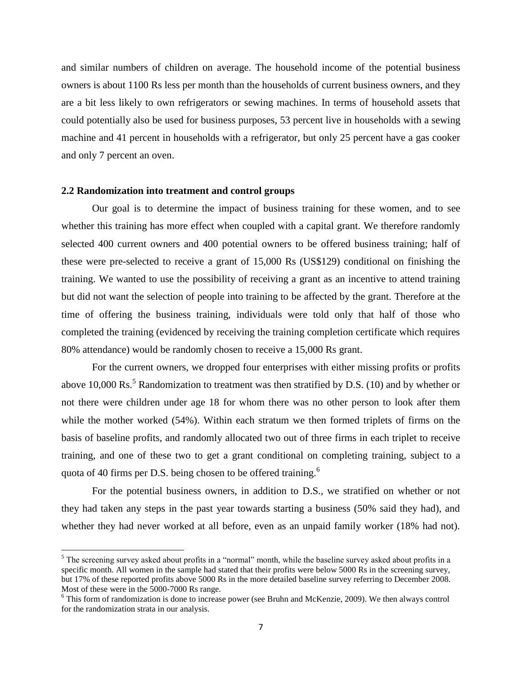and similar numbers of children on average. The household income of the potential business owners is about 1100 Rs less per month than the households of current business owners, and they are a bit less likely to own refrigerators or sewing machines. In terms of household assets that could potentially also be used for business purposes, 53 percent live in households with a sewing machine and 41 percent in households with a refrigerator, but only 25 percent have a gas cooker and only 7 percent an oven.

#### **2.2 Randomization into treatment and control groups**

l

Our goal is to determine the impact of business training for these women, and to see whether this training has more effect when coupled with a capital grant. We therefore randomly selected 400 current owners and 400 potential owners to be offered business training; half of these were pre-selected to receive a grant of 15,000 Rs (US\$129) conditional on finishing the training. We wanted to use the possibility of receiving a grant as an incentive to attend training but did not want the selection of people into training to be affected by the grant. Therefore at the time of offering the business training, individuals were told only that half of those who completed the training (evidenced by receiving the training completion certificate which requires 80% attendance) would be randomly chosen to receive a 15,000 Rs grant.

For the current owners, we dropped four enterprises with either missing profits or profits above 10,000 Rs.<sup>5</sup> Randomization to treatment was then stratified by D.S. (10) and by whether or not there were children under age 18 for whom there was no other person to look after them while the mother worked (54%). Within each stratum we then formed triplets of firms on the basis of baseline profits, and randomly allocated two out of three firms in each triplet to receive training, and one of these two to get a grant conditional on completing training, subject to a quota of 40 firms per D.S. being chosen to be offered training.<sup>6</sup>

For the potential business owners, in addition to D.S., we stratified on whether or not they had taken any steps in the past year towards starting a business (50% said they had), and whether they had never worked at all before, even as an unpaid family worker (18% had not).

 $<sup>5</sup>$  The screening survey asked about profits in a "normal" month, while the baseline survey asked about profits in a</sup> specific month. All women in the sample had stated that their profits were below 5000 Rs in the screening survey, but 17% of these reported profits above 5000 Rs in the more detailed baseline survey referring to December 2008. Most of these were in the 5000-7000 Rs range.

<sup>&</sup>lt;sup>6</sup> This form of randomization is done to increase power (see Bruhn and McKenzie, 2009). We then always control for the randomization strata in our analysis.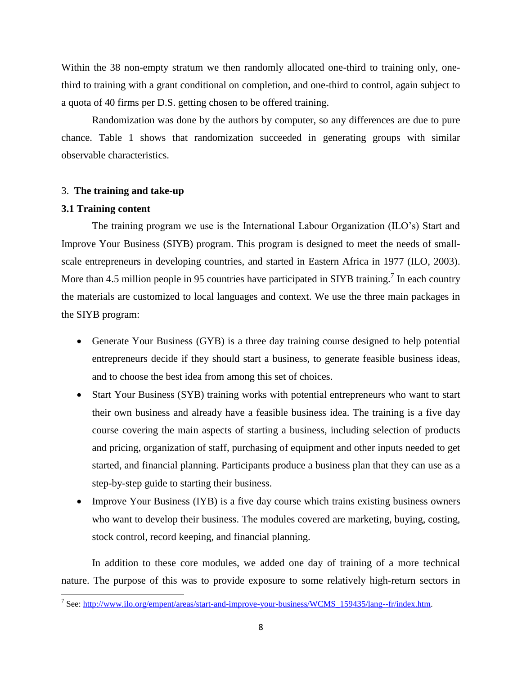Within the 38 non-empty stratum we then randomly allocated one-third to training only, onethird to training with a grant conditional on completion, and one-third to control, again subject to a quota of 40 firms per D.S. getting chosen to be offered training.

Randomization was done by the authors by computer, so any differences are due to pure chance. Table 1 shows that randomization succeeded in generating groups with similar observable characteristics.

#### 3. **The training and take-up**

#### **3.1 Training content**

The training program we use is the International Labour Organization (ILO's) Start and Improve Your Business (SIYB) program. This program is designed to meet the needs of smallscale entrepreneurs in developing countries, and started in Eastern Africa in 1977 (ILO, 2003). More than 4.5 million people in 95 countries have participated in SIYB training.<sup>7</sup> In each country the materials are customized to local languages and context. We use the three main packages in the SIYB program:

- Generate Your Business (GYB) is a three day training course designed to help potential entrepreneurs decide if they should start a business, to generate feasible business ideas, and to choose the best idea from among this set of choices.
- Start Your Business (SYB) training works with potential entrepreneurs who want to start their own business and already have a feasible business idea. The training is a five day course covering the main aspects of starting a business, including selection of products and pricing, organization of staff, purchasing of equipment and other inputs needed to get started, and financial planning. Participants produce a business plan that they can use as a step-by-step guide to starting their business.
- Improve Your Business (IYB) is a five day course which trains existing business owners who want to develop their business. The modules covered are marketing, buying, costing, stock control, record keeping, and financial planning.

In addition to these core modules, we added one day of training of a more technical nature. The purpose of this was to provide exposure to some relatively high-return sectors in

<sup>&</sup>lt;sup>7</sup> See: http://www.ilo.org/empent/areas/start-and-improve-your-business/WCMS\_159435/lang--fr/index.htm.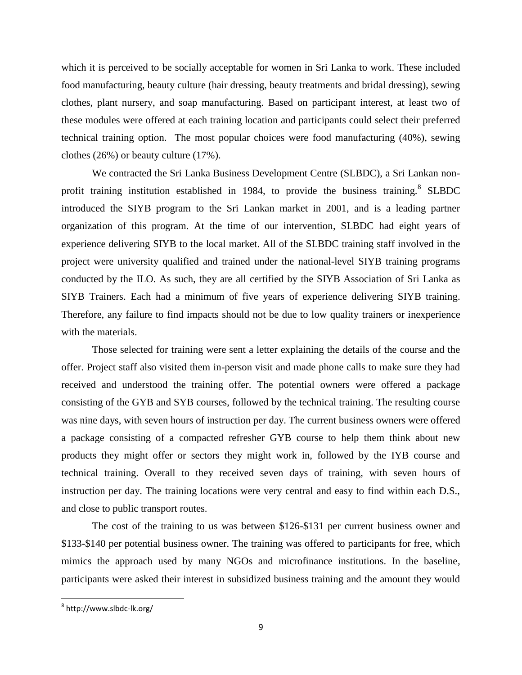which it is perceived to be socially acceptable for women in Sri Lanka to work. These included food manufacturing, beauty culture (hair dressing, beauty treatments and bridal dressing), sewing clothes, plant nursery, and soap manufacturing. Based on participant interest, at least two of these modules were offered at each training location and participants could select their preferred technical training option. The most popular choices were food manufacturing (40%), sewing clothes (26%) or beauty culture (17%).

We contracted the Sri Lanka Business Development Centre (SLBDC), a Sri Lankan nonprofit training institution established in 1984, to provide the business training.<sup>8</sup> SLBDC introduced the SIYB program to the Sri Lankan market in 2001, and is a leading partner organization of this program. At the time of our intervention, SLBDC had eight years of experience delivering SIYB to the local market. All of the SLBDC training staff involved in the project were university qualified and trained under the national-level SIYB training programs conducted by the ILO. As such, they are all certified by the SIYB Association of Sri Lanka as SIYB Trainers. Each had a minimum of five years of experience delivering SIYB training. Therefore, any failure to find impacts should not be due to low quality trainers or inexperience with the materials.

Those selected for training were sent a letter explaining the details of the course and the offer. Project staff also visited them in-person visit and made phone calls to make sure they had received and understood the training offer. The potential owners were offered a package consisting of the GYB and SYB courses, followed by the technical training. The resulting course was nine days, with seven hours of instruction per day. The current business owners were offered a package consisting of a compacted refresher GYB course to help them think about new products they might offer or sectors they might work in, followed by the IYB course and technical training. Overall to they received seven days of training, with seven hours of instruction per day. The training locations were very central and easy to find within each D.S., and close to public transport routes.

The cost of the training to us was between \$126-\$131 per current business owner and \$133-\$140 per potential business owner. The training was offered to participants for free, which mimics the approach used by many NGOs and microfinance institutions. In the baseline, participants were asked their interest in subsidized business training and the amount they would

 $\overline{\phantom{a}}$ 

 $^8$  http://www.slbdc-lk.org/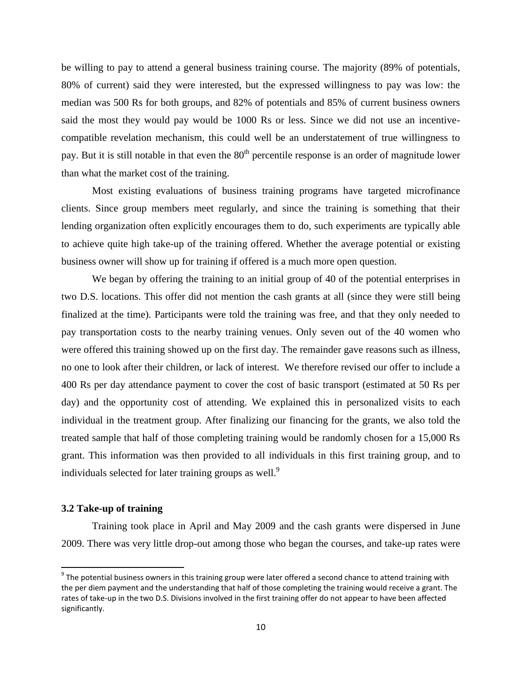be willing to pay to attend a general business training course. The majority (89% of potentials, 80% of current) said they were interested, but the expressed willingness to pay was low: the median was 500 Rs for both groups, and 82% of potentials and 85% of current business owners said the most they would pay would be 1000 Rs or less. Since we did not use an incentivecompatible revelation mechanism, this could well be an understatement of true willingness to pay. But it is still notable in that even the  $80<sup>th</sup>$  percentile response is an order of magnitude lower than what the market cost of the training.

Most existing evaluations of business training programs have targeted microfinance clients. Since group members meet regularly, and since the training is something that their lending organization often explicitly encourages them to do, such experiments are typically able to achieve quite high take-up of the training offered. Whether the average potential or existing business owner will show up for training if offered is a much more open question.

We began by offering the training to an initial group of 40 of the potential enterprises in two D.S. locations. This offer did not mention the cash grants at all (since they were still being finalized at the time). Participants were told the training was free, and that they only needed to pay transportation costs to the nearby training venues. Only seven out of the 40 women who were offered this training showed up on the first day. The remainder gave reasons such as illness, no one to look after their children, or lack of interest. We therefore revised our offer to include a 400 Rs per day attendance payment to cover the cost of basic transport (estimated at 50 Rs per day) and the opportunity cost of attending. We explained this in personalized visits to each individual in the treatment group. After finalizing our financing for the grants, we also told the treated sample that half of those completing training would be randomly chosen for a 15,000 Rs grant. This information was then provided to all individuals in this first training group, and to individuals selected for later training groups as well.<sup>9</sup>

#### **3.2 Take-up of training**

 $\overline{a}$ 

Training took place in April and May 2009 and the cash grants were dispersed in June 2009. There was very little drop-out among those who began the courses, and take-up rates were

 $^9$  The potential business owners in this training group were later offered a second chance to attend training with the per diem payment and the understanding that half of those completing the training would receive a grant. The rates of take-up in the two D.S. Divisions involved in the first training offer do not appear to have been affected significantly.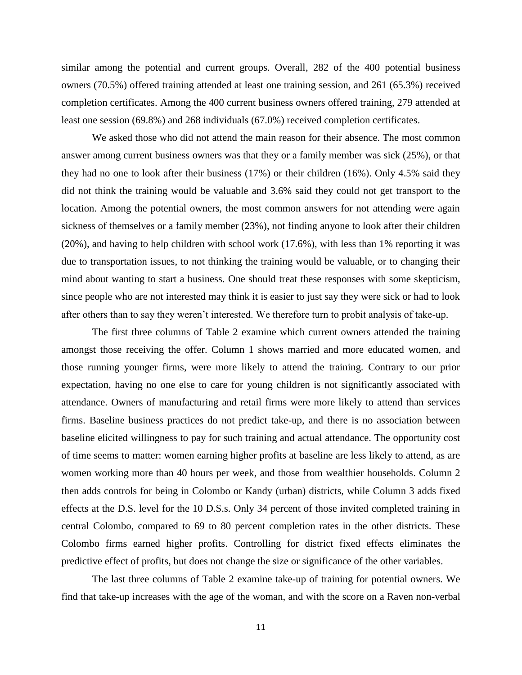similar among the potential and current groups. Overall, 282 of the 400 potential business owners (70.5%) offered training attended at least one training session, and 261 (65.3%) received completion certificates. Among the 400 current business owners offered training, 279 attended at least one session (69.8%) and 268 individuals (67.0%) received completion certificates.

We asked those who did not attend the main reason for their absence. The most common answer among current business owners was that they or a family member was sick (25%), or that they had no one to look after their business (17%) or their children (16%). Only 4.5% said they did not think the training would be valuable and 3.6% said they could not get transport to the location. Among the potential owners, the most common answers for not attending were again sickness of themselves or a family member (23%), not finding anyone to look after their children (20%), and having to help children with school work (17.6%), with less than 1% reporting it was due to transportation issues, to not thinking the training would be valuable, or to changing their mind about wanting to start a business. One should treat these responses with some skepticism, since people who are not interested may think it is easier to just say they were sick or had to look after others than to say they weren't interested. We therefore turn to probit analysis of take-up.

The first three columns of Table 2 examine which current owners attended the training amongst those receiving the offer. Column 1 shows married and more educated women, and those running younger firms, were more likely to attend the training. Contrary to our prior expectation, having no one else to care for young children is not significantly associated with attendance. Owners of manufacturing and retail firms were more likely to attend than services firms. Baseline business practices do not predict take-up, and there is no association between baseline elicited willingness to pay for such training and actual attendance. The opportunity cost of time seems to matter: women earning higher profits at baseline are less likely to attend, as are women working more than 40 hours per week, and those from wealthier households. Column 2 then adds controls for being in Colombo or Kandy (urban) districts, while Column 3 adds fixed effects at the D.S. level for the 10 D.S.s. Only 34 percent of those invited completed training in central Colombo, compared to 69 to 80 percent completion rates in the other districts. These Colombo firms earned higher profits. Controlling for district fixed effects eliminates the predictive effect of profits, but does not change the size or significance of the other variables.

The last three columns of Table 2 examine take-up of training for potential owners. We find that take-up increases with the age of the woman, and with the score on a Raven non-verbal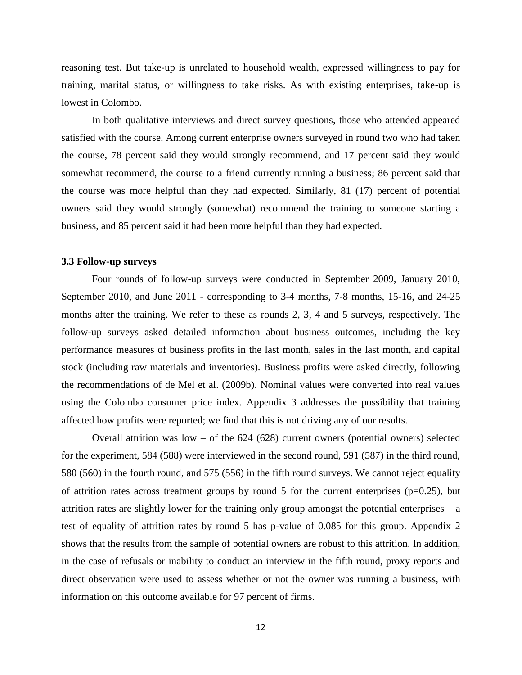reasoning test. But take-up is unrelated to household wealth, expressed willingness to pay for training, marital status, or willingness to take risks. As with existing enterprises, take-up is lowest in Colombo.

 In both qualitative interviews and direct survey questions, those who attended appeared satisfied with the course. Among current enterprise owners surveyed in round two who had taken the course, 78 percent said they would strongly recommend, and 17 percent said they would somewhat recommend, the course to a friend currently running a business; 86 percent said that the course was more helpful than they had expected. Similarly, 81 (17) percent of potential owners said they would strongly (somewhat) recommend the training to someone starting a business, and 85 percent said it had been more helpful than they had expected.

#### **3.3 Follow-up surveys**

Four rounds of follow-up surveys were conducted in September 2009, January 2010, September 2010, and June 2011 - corresponding to 3-4 months, 7-8 months, 15-16, and 24-25 months after the training. We refer to these as rounds 2, 3, 4 and 5 surveys, respectively. The follow-up surveys asked detailed information about business outcomes, including the key performance measures of business profits in the last month, sales in the last month, and capital stock (including raw materials and inventories). Business profits were asked directly, following the recommendations of de Mel et al. (2009b). Nominal values were converted into real values using the Colombo consumer price index. Appendix 3 addresses the possibility that training affected how profits were reported; we find that this is not driving any of our results.

Overall attrition was  $low - of the 624 (628)$  current owners (potential owners) selected for the experiment, 584 (588) were interviewed in the second round, 591 (587) in the third round, 580 (560) in the fourth round, and 575 (556) in the fifth round surveys. We cannot reject equality of attrition rates across treatment groups by round 5 for the current enterprises ( $p=0.25$ ), but attrition rates are slightly lower for the training only group amongst the potential enterprises – a test of equality of attrition rates by round 5 has p-value of 0.085 for this group. Appendix 2 shows that the results from the sample of potential owners are robust to this attrition. In addition, in the case of refusals or inability to conduct an interview in the fifth round, proxy reports and direct observation were used to assess whether or not the owner was running a business, with information on this outcome available for 97 percent of firms.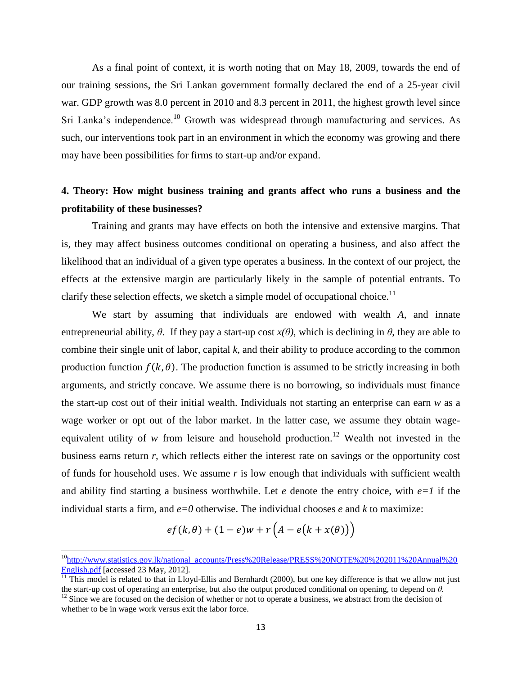As a final point of context, it is worth noting that on May 18, 2009, towards the end of our training sessions, the Sri Lankan government formally declared the end of a 25-year civil war. GDP growth was 8.0 percent in 2010 and 8.3 percent in 2011, the highest growth level since Sri Lanka's independence.<sup>10</sup> Growth was widespread through manufacturing and services. As such, our interventions took part in an environment in which the economy was growing and there may have been possibilities for firms to start-up and/or expand.

# **4. Theory: How might business training and grants affect who runs a business and the profitability of these businesses?**

Training and grants may have effects on both the intensive and extensive margins. That is, they may affect business outcomes conditional on operating a business, and also affect the likelihood that an individual of a given type operates a business. In the context of our project, the effects at the extensive margin are particularly likely in the sample of potential entrants. To clarify these selection effects, we sketch a simple model of occupational choice.<sup>11</sup>

We start by assuming that individuals are endowed with wealth *A*, and innate entrepreneurial ability,  $\theta$ . If they pay a start-up cost  $x(\theta)$ , which is declining in  $\theta$ , they are able to combine their single unit of labor, capital *k*, and their ability to produce according to the common production function  $f(k, \theta)$ . The production function is assumed to be strictly increasing in both arguments, and strictly concave. We assume there is no borrowing, so individuals must finance the start-up cost out of their initial wealth. Individuals not starting an enterprise can earn *w* as a wage worker or opt out of the labor market. In the latter case, we assume they obtain wageequivalent utility of *w* from leisure and household production.<sup>12</sup> Wealth not invested in the business earns return *r*, which reflects either the interest rate on savings or the opportunity cost of funds for household uses. We assume *r* is low enough that individuals with sufficient wealth and ability find starting a business worthwhile. Let *e* denote the entry choice, with *e=1* if the individual starts a firm, and *e=0* otherwise. The individual chooses *e* and *k* to maximize:

$$
ef(k, \theta) + (1 - e)w + r\left(A - e(k + x(\theta))\right)
$$

l

<sup>&</sup>lt;sup>10</sup>[http://www.statistics.gov.lk/national\\_accounts/Press%20Release/PRESS%20NOTE%20%202011%20Annual%20](http://www.statistics.gov.lk/national_accounts/Press%20Release/PRESS%20NOTE%20%202011%20Annual%20English.pdf) [English.pdf \[](http://www.statistics.gov.lk/national_accounts/Press%20Release/PRESS%20NOTE%20%202011%20Annual%20English.pdf)accessed 23 May, 2012].

 $\frac{11}{11}$  This model is related to that in Lloyd-Ellis and Bernhardt (2000), but one key difference is that we allow not just the start-up cost of operating an enterprise, but also the output produced conditional on opening, to depend on *θ.*

 $12$  Since we are focused on the decision of whether or not to operate a business, we abstract from the decision of whether to be in wage work versus exit the labor force.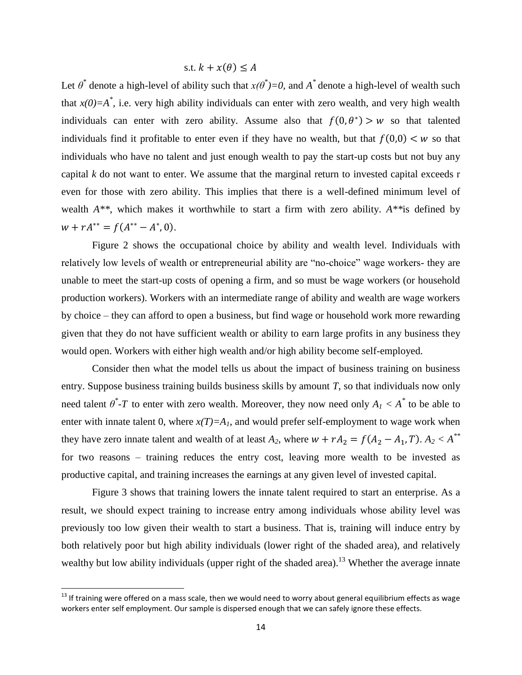s.t. 
$$
k + x(\theta) \leq A
$$

Let  $\theta^*$  denote a high-level of ability such that  $x(\theta^*)=0$ , and  $A^*$  denote a high-level of wealth such that  $x(0)=A^*$ , i.e. very high ability individuals can enter with zero wealth, and very high wealth individuals can enter with zero ability. Assume also that  $f(0, \theta^*) > w$  so that talented individuals find it profitable to enter even if they have no wealth, but that  $f(0,0) \lt w$  so that individuals who have no talent and just enough wealth to pay the start-up costs but not buy any capital *k* do not want to enter. We assume that the marginal return to invested capital exceeds r even for those with zero ability. This implies that there is a well-defined minimum level of wealth *A\*\**, which makes it worthwhile to start a firm with zero ability. *A\*\**is defined by  $w + rA^{**} = f(A^{**} - A^*, 0).$ 

Figure 2 shows the occupational choice by ability and wealth level. Individuals with relatively low levels of wealth or entrepreneurial ability are "no-choice" wage workers- they are unable to meet the start-up costs of opening a firm, and so must be wage workers (or household production workers). Workers with an intermediate range of ability and wealth are wage workers by choice – they can afford to open a business, but find wage or household work more rewarding given that they do not have sufficient wealth or ability to earn large profits in any business they would open. Workers with either high wealth and/or high ability become self-employed.

Consider then what the model tells us about the impact of business training on business entry. Suppose business training builds business skills by amount *T*, so that individuals now only need talent  $\theta^*$ -*T* to enter with zero wealth. Moreover, they now need only  $A_I < A^*$  to be able to enter with innate talent 0, where  $x(T)=A_I$ , and would prefer self-employment to wage work when they have zero innate talent and wealth of at least  $A_2$ , where  $w + rA_2 = f(A_2 - A_1, T)$ .  $A_2 < A^{**}$ for two reasons – training reduces the entry cost, leaving more wealth to be invested as productive capital, and training increases the earnings at any given level of invested capital.

Figure 3 shows that training lowers the innate talent required to start an enterprise. As a result, we should expect training to increase entry among individuals whose ability level was previously too low given their wealth to start a business. That is, training will induce entry by both relatively poor but high ability individuals (lower right of the shaded area), and relatively wealthy but low ability individuals (upper right of the shaded area).<sup>13</sup> Whether the average innate

l

 $13$  If training were offered on a mass scale, then we would need to worry about general equilibrium effects as wage workers enter self employment. Our sample is dispersed enough that we can safely ignore these effects.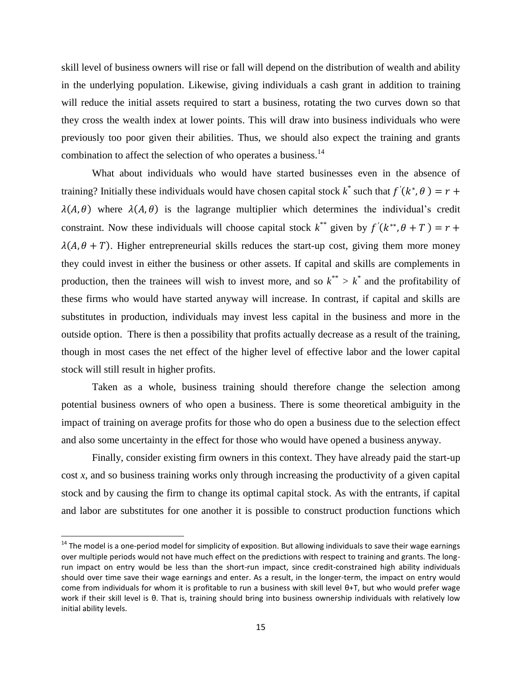skill level of business owners will rise or fall will depend on the distribution of wealth and ability in the underlying population. Likewise, giving individuals a cash grant in addition to training will reduce the initial assets required to start a business, rotating the two curves down so that they cross the wealth index at lower points. This will draw into business individuals who were previously too poor given their abilities. Thus, we should also expect the training and grants combination to affect the selection of who operates a business.<sup>14</sup>

What about individuals who would have started businesses even in the absence of training? Initially these individuals would have chosen capital stock  $k^*$  such that  $f'(k^*)$ ,  $\lambda(A, \theta)$  where  $\lambda(A, \theta)$  is the lagrange multiplier which determines the individual's credit constraint. Now these individuals will choose capital stock  $k^{**}$  given by  $f'(k^*)$  $\lambda(A, \theta + T)$ . Higher entrepreneurial skills reduces the start-up cost, giving them more money they could invest in either the business or other assets. If capital and skills are complements in production, then the trainees will wish to invest more, and so  $k^{**} > k^*$  and the profitability of these firms who would have started anyway will increase. In contrast, if capital and skills are substitutes in production, individuals may invest less capital in the business and more in the outside option. There is then a possibility that profits actually decrease as a result of the training, though in most cases the net effect of the higher level of effective labor and the lower capital stock will still result in higher profits.

Taken as a whole, business training should therefore change the selection among potential business owners of who open a business. There is some theoretical ambiguity in the impact of training on average profits for those who do open a business due to the selection effect and also some uncertainty in the effect for those who would have opened a business anyway.

Finally, consider existing firm owners in this context. They have already paid the start-up cost *x*, and so business training works only through increasing the productivity of a given capital stock and by causing the firm to change its optimal capital stock. As with the entrants, if capital and labor are substitutes for one another it is possible to construct production functions which

 $\overline{\phantom{a}}$ 

 $14$  The model is a one-period model for simplicity of exposition. But allowing individuals to save their wage earnings over multiple periods would not have much effect on the predictions with respect to training and grants. The longrun impact on entry would be less than the short-run impact, since credit-constrained high ability individuals should over time save their wage earnings and enter. As a result, in the longer-term, the impact on entry would come from individuals for whom it is profitable to run a business with skill level θ+T, but who would prefer wage work if their skill level is θ. That is, training should bring into business ownership individuals with relatively low initial ability levels.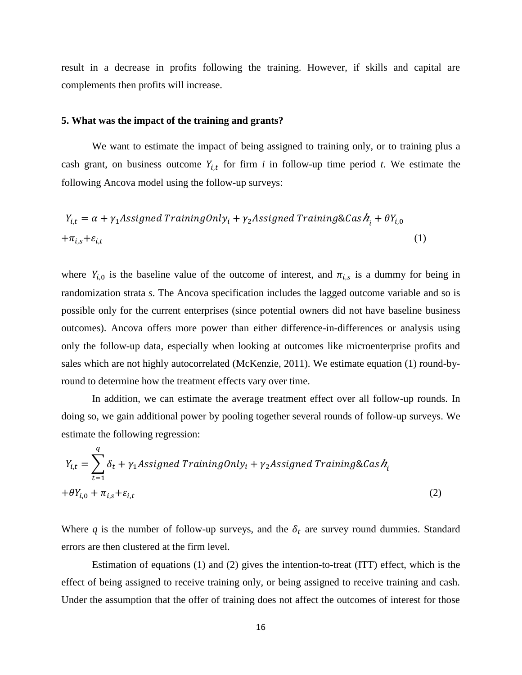result in a decrease in profits following the training. However, if skills and capital are complements then profits will increase.

#### **5. What was the impact of the training and grants?**

We want to estimate the impact of being assigned to training only, or to training plus a cash grant, on business outcome  $Y_{i,t}$  for firm *i* in follow-up time period *t*. We estimate the following Ancova model using the follow-up surveys:

$$
Y_{i,t} = \alpha + \gamma_1 \text{Associated TrainingOnly}_i + \gamma_2 \text{Associated Training\&Cas} \, h_i + \theta Y_{i,0}
$$

$$
+ \pi_{i,s} + \varepsilon_{i,t} \tag{1}
$$

where  $Y_{i,0}$  is the baseline value of the outcome of interest, and  $\pi_{i,s}$  is a dummy for being in randomization strata *s*. The Ancova specification includes the lagged outcome variable and so is possible only for the current enterprises (since potential owners did not have baseline business outcomes). Ancova offers more power than either difference-in-differences or analysis using only the follow-up data, especially when looking at outcomes like microenterprise profits and sales which are not highly autocorrelated (McKenzie, 2011). We estimate equation (1) round-byround to determine how the treatment effects vary over time.

In addition, we can estimate the average treatment effect over all follow-up rounds. In doing so, we gain additional power by pooling together several rounds of follow-up surveys. We estimate the following regression:

$$
Y_{i,t} = \sum_{t=1}^{q} \delta_t + \gamma_1 \text{Assigned TrainingOnly}_i + \gamma_2 \text{Assigned Training\&Cas} h_i
$$
  
+
$$
\theta Y_{i,0} + \pi_{i,s} + \varepsilon_{i,t}
$$
 (2)

Where q is the number of follow-up surveys, and the  $\delta_t$  are survey round dummies. Standard errors are then clustered at the firm level.

Estimation of equations (1) and (2) gives the intention-to-treat (ITT) effect, which is the effect of being assigned to receive training only, or being assigned to receive training and cash. Under the assumption that the offer of training does not affect the outcomes of interest for those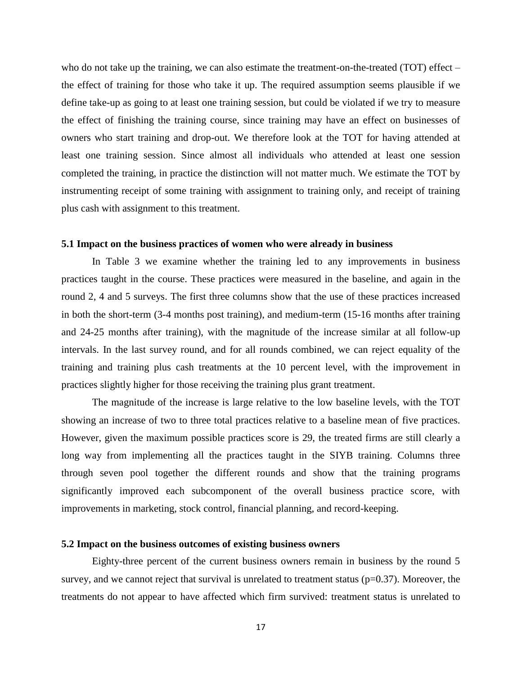who do not take up the training, we can also estimate the treatment-on-the-treated  $(TOT)$  effect – the effect of training for those who take it up. The required assumption seems plausible if we define take-up as going to at least one training session, but could be violated if we try to measure the effect of finishing the training course, since training may have an effect on businesses of owners who start training and drop-out. We therefore look at the TOT for having attended at least one training session. Since almost all individuals who attended at least one session completed the training, in practice the distinction will not matter much. We estimate the TOT by instrumenting receipt of some training with assignment to training only, and receipt of training plus cash with assignment to this treatment.

#### **5.1 Impact on the business practices of women who were already in business**

In Table 3 we examine whether the training led to any improvements in business practices taught in the course. These practices were measured in the baseline, and again in the round 2, 4 and 5 surveys. The first three columns show that the use of these practices increased in both the short-term (3-4 months post training), and medium-term (15-16 months after training and 24-25 months after training), with the magnitude of the increase similar at all follow-up intervals. In the last survey round, and for all rounds combined, we can reject equality of the training and training plus cash treatments at the 10 percent level, with the improvement in practices slightly higher for those receiving the training plus grant treatment.

The magnitude of the increase is large relative to the low baseline levels, with the TOT showing an increase of two to three total practices relative to a baseline mean of five practices. However, given the maximum possible practices score is 29, the treated firms are still clearly a long way from implementing all the practices taught in the SIYB training. Columns three through seven pool together the different rounds and show that the training programs significantly improved each subcomponent of the overall business practice score, with improvements in marketing, stock control, financial planning, and record-keeping.

#### **5.2 Impact on the business outcomes of existing business owners**

Eighty-three percent of the current business owners remain in business by the round 5 survey, and we cannot reject that survival is unrelated to treatment status ( $p=0.37$ ). Moreover, the treatments do not appear to have affected which firm survived: treatment status is unrelated to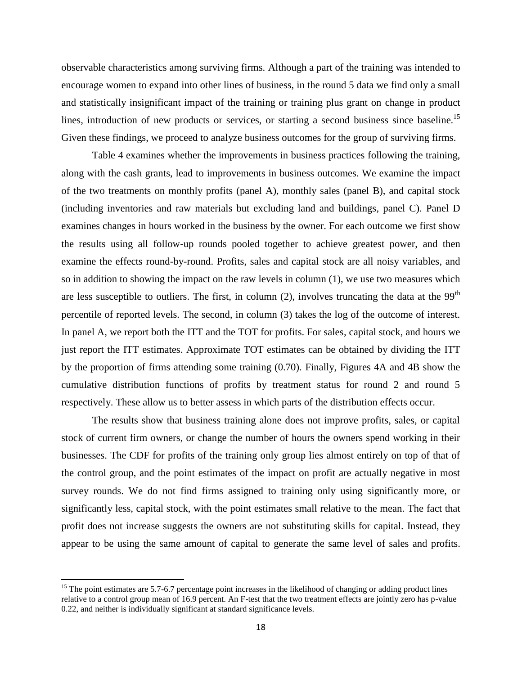observable characteristics among surviving firms. Although a part of the training was intended to encourage women to expand into other lines of business, in the round 5 data we find only a small and statistically insignificant impact of the training or training plus grant on change in product lines, introduction of new products or services, or starting a second business since baseline.<sup>15</sup> Given these findings, we proceed to analyze business outcomes for the group of surviving firms.

Table 4 examines whether the improvements in business practices following the training, along with the cash grants, lead to improvements in business outcomes. We examine the impact of the two treatments on monthly profits (panel A), monthly sales (panel B), and capital stock (including inventories and raw materials but excluding land and buildings, panel C). Panel D examines changes in hours worked in the business by the owner. For each outcome we first show the results using all follow-up rounds pooled together to achieve greatest power, and then examine the effects round-by-round. Profits, sales and capital stock are all noisy variables, and so in addition to showing the impact on the raw levels in column (1), we use two measures which are less susceptible to outliers. The first, in column  $(2)$ , involves truncating the data at the 99<sup>th</sup> percentile of reported levels. The second, in column (3) takes the log of the outcome of interest. In panel A, we report both the ITT and the TOT for profits. For sales, capital stock, and hours we just report the ITT estimates. Approximate TOT estimates can be obtained by dividing the ITT by the proportion of firms attending some training (0.70). Finally, Figures 4A and 4B show the cumulative distribution functions of profits by treatment status for round 2 and round 5 respectively. These allow us to better assess in which parts of the distribution effects occur.

The results show that business training alone does not improve profits, sales, or capital stock of current firm owners, or change the number of hours the owners spend working in their businesses. The CDF for profits of the training only group lies almost entirely on top of that of the control group, and the point estimates of the impact on profit are actually negative in most survey rounds. We do not find firms assigned to training only using significantly more, or significantly less, capital stock, with the point estimates small relative to the mean. The fact that profit does not increase suggests the owners are not substituting skills for capital. Instead, they appear to be using the same amount of capital to generate the same level of sales and profits.

 $\overline{\phantom{a}}$ 

 $15$  The point estimates are 5.7-6.7 percentage point increases in the likelihood of changing or adding product lines relative to a control group mean of 16.9 percent. An F-test that the two treatment effects are jointly zero has p-value 0.22, and neither is individually significant at standard significance levels.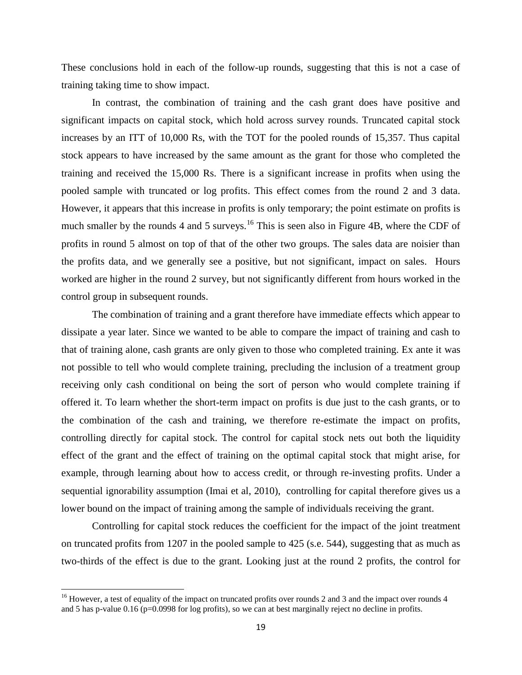These conclusions hold in each of the follow-up rounds, suggesting that this is not a case of training taking time to show impact.

In contrast, the combination of training and the cash grant does have positive and significant impacts on capital stock, which hold across survey rounds. Truncated capital stock increases by an ITT of 10,000 Rs, with the TOT for the pooled rounds of 15,357. Thus capital stock appears to have increased by the same amount as the grant for those who completed the training and received the 15,000 Rs. There is a significant increase in profits when using the pooled sample with truncated or log profits. This effect comes from the round 2 and 3 data. However, it appears that this increase in profits is only temporary; the point estimate on profits is much smaller by the rounds 4 and 5 surveys.<sup>16</sup> This is seen also in Figure 4B, where the CDF of profits in round 5 almost on top of that of the other two groups. The sales data are noisier than the profits data, and we generally see a positive, but not significant, impact on sales. Hours worked are higher in the round 2 survey, but not significantly different from hours worked in the control group in subsequent rounds.

The combination of training and a grant therefore have immediate effects which appear to dissipate a year later. Since we wanted to be able to compare the impact of training and cash to that of training alone, cash grants are only given to those who completed training. Ex ante it was not possible to tell who would complete training, precluding the inclusion of a treatment group receiving only cash conditional on being the sort of person who would complete training if offered it. To learn whether the short-term impact on profits is due just to the cash grants, or to the combination of the cash and training, we therefore re-estimate the impact on profits, controlling directly for capital stock. The control for capital stock nets out both the liquidity effect of the grant and the effect of training on the optimal capital stock that might arise, for example, through learning about how to access credit, or through re-investing profits. Under a sequential ignorability assumption (Imai et al, 2010), controlling for capital therefore gives us a lower bound on the impact of training among the sample of individuals receiving the grant.

Controlling for capital stock reduces the coefficient for the impact of the joint treatment on truncated profits from 1207 in the pooled sample to 425 (s.e. 544), suggesting that as much as two-thirds of the effect is due to the grant. Looking just at the round 2 profits, the control for

 $\overline{\phantom{a}}$ 

 $16$  However, a test of equality of the impact on truncated profits over rounds 2 and 3 and the impact over rounds 4 and 5 has p-value 0.16 (p=0.0998 for log profits), so we can at best marginally reject no decline in profits.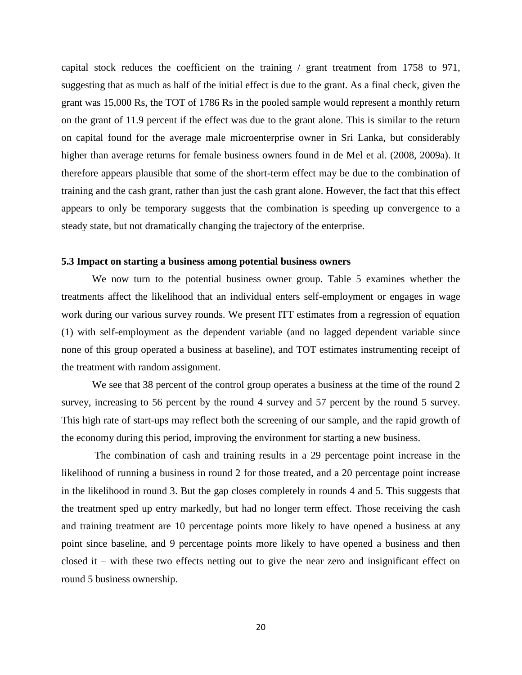capital stock reduces the coefficient on the training / grant treatment from 1758 to 971, suggesting that as much as half of the initial effect is due to the grant. As a final check, given the grant was 15,000 Rs, the TOT of 1786 Rs in the pooled sample would represent a monthly return on the grant of 11.9 percent if the effect was due to the grant alone. This is similar to the return on capital found for the average male microenterprise owner in Sri Lanka, but considerably higher than average returns for female business owners found in de Mel et al. (2008, 2009a). It therefore appears plausible that some of the short-term effect may be due to the combination of training and the cash grant, rather than just the cash grant alone. However, the fact that this effect appears to only be temporary suggests that the combination is speeding up convergence to a steady state, but not dramatically changing the trajectory of the enterprise.

#### **5.3 Impact on starting a business among potential business owners**

We now turn to the potential business owner group. Table 5 examines whether the treatments affect the likelihood that an individual enters self-employment or engages in wage work during our various survey rounds. We present ITT estimates from a regression of equation (1) with self-employment as the dependent variable (and no lagged dependent variable since none of this group operated a business at baseline), and TOT estimates instrumenting receipt of the treatment with random assignment.

We see that 38 percent of the control group operates a business at the time of the round 2 survey, increasing to 56 percent by the round 4 survey and 57 percent by the round 5 survey. This high rate of start-ups may reflect both the screening of our sample, and the rapid growth of the economy during this period, improving the environment for starting a new business.

The combination of cash and training results in a 29 percentage point increase in the likelihood of running a business in round 2 for those treated, and a 20 percentage point increase in the likelihood in round 3. But the gap closes completely in rounds 4 and 5. This suggests that the treatment sped up entry markedly, but had no longer term effect. Those receiving the cash and training treatment are 10 percentage points more likely to have opened a business at any point since baseline, and 9 percentage points more likely to have opened a business and then closed it – with these two effects netting out to give the near zero and insignificant effect on round 5 business ownership.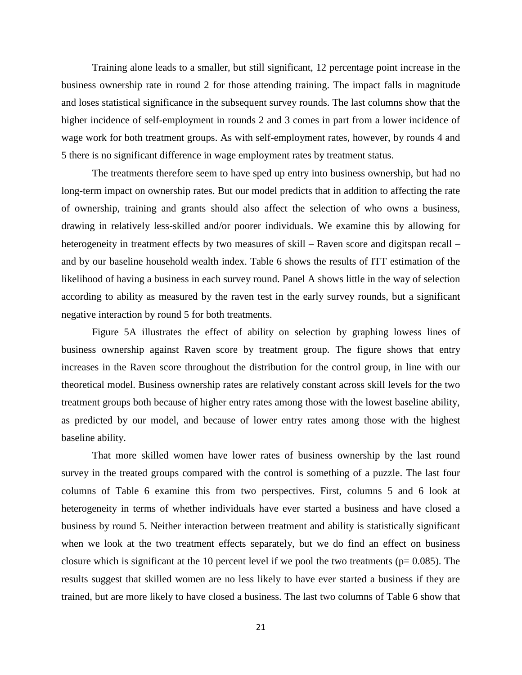Training alone leads to a smaller, but still significant, 12 percentage point increase in the business ownership rate in round 2 for those attending training. The impact falls in magnitude and loses statistical significance in the subsequent survey rounds. The last columns show that the higher incidence of self-employment in rounds 2 and 3 comes in part from a lower incidence of wage work for both treatment groups. As with self-employment rates, however, by rounds 4 and 5 there is no significant difference in wage employment rates by treatment status.

The treatments therefore seem to have sped up entry into business ownership, but had no long-term impact on ownership rates. But our model predicts that in addition to affecting the rate of ownership, training and grants should also affect the selection of who owns a business, drawing in relatively less-skilled and/or poorer individuals. We examine this by allowing for heterogeneity in treatment effects by two measures of skill – Raven score and digitspan recall – and by our baseline household wealth index. Table 6 shows the results of ITT estimation of the likelihood of having a business in each survey round. Panel A shows little in the way of selection according to ability as measured by the raven test in the early survey rounds, but a significant negative interaction by round 5 for both treatments.

Figure 5A illustrates the effect of ability on selection by graphing lowess lines of business ownership against Raven score by treatment group. The figure shows that entry increases in the Raven score throughout the distribution for the control group, in line with our theoretical model. Business ownership rates are relatively constant across skill levels for the two treatment groups both because of higher entry rates among those with the lowest baseline ability, as predicted by our model, and because of lower entry rates among those with the highest baseline ability.

That more skilled women have lower rates of business ownership by the last round survey in the treated groups compared with the control is something of a puzzle. The last four columns of Table 6 examine this from two perspectives. First, columns 5 and 6 look at heterogeneity in terms of whether individuals have ever started a business and have closed a business by round 5. Neither interaction between treatment and ability is statistically significant when we look at the two treatment effects separately, but we do find an effect on business closure which is significant at the 10 percent level if we pool the two treatments ( $p= 0.085$ ). The results suggest that skilled women are no less likely to have ever started a business if they are trained, but are more likely to have closed a business. The last two columns of Table 6 show that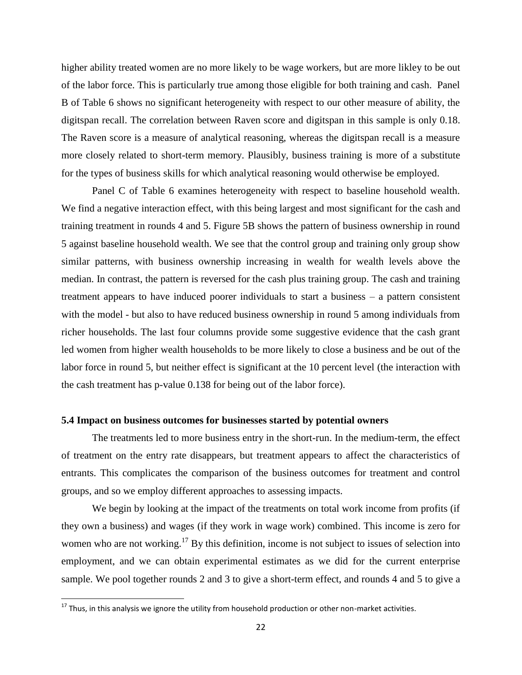higher ability treated women are no more likely to be wage workers, but are more likley to be out of the labor force. This is particularly true among those eligible for both training and cash. Panel B of Table 6 shows no significant heterogeneity with respect to our other measure of ability, the digitspan recall. The correlation between Raven score and digitspan in this sample is only 0.18. The Raven score is a measure of analytical reasoning, whereas the digitspan recall is a measure more closely related to short-term memory. Plausibly, business training is more of a substitute for the types of business skills for which analytical reasoning would otherwise be employed.

Panel C of Table 6 examines heterogeneity with respect to baseline household wealth. We find a negative interaction effect, with this being largest and most significant for the cash and training treatment in rounds 4 and 5. Figure 5B shows the pattern of business ownership in round 5 against baseline household wealth. We see that the control group and training only group show similar patterns, with business ownership increasing in wealth for wealth levels above the median. In contrast, the pattern is reversed for the cash plus training group. The cash and training treatment appears to have induced poorer individuals to start a business – a pattern consistent with the model - but also to have reduced business ownership in round 5 among individuals from richer households. The last four columns provide some suggestive evidence that the cash grant led women from higher wealth households to be more likely to close a business and be out of the labor force in round 5, but neither effect is significant at the 10 percent level (the interaction with the cash treatment has p-value 0.138 for being out of the labor force).

#### **5.4 Impact on business outcomes for businesses started by potential owners**

The treatments led to more business entry in the short-run. In the medium-term, the effect of treatment on the entry rate disappears, but treatment appears to affect the characteristics of entrants. This complicates the comparison of the business outcomes for treatment and control groups, and so we employ different approaches to assessing impacts.

We begin by looking at the impact of the treatments on total work income from profits (if they own a business) and wages (if they work in wage work) combined. This income is zero for women who are not working.<sup>17</sup> By this definition, income is not subject to issues of selection into employment, and we can obtain experimental estimates as we did for the current enterprise sample. We pool together rounds 2 and 3 to give a short-term effect, and rounds 4 and 5 to give a

 $\overline{\phantom{a}}$ 

 $^{17}$  Thus, in this analysis we ignore the utility from household production or other non-market activities.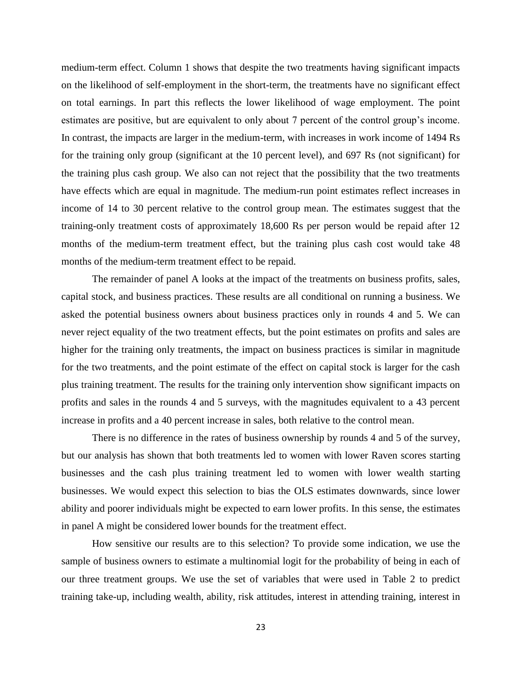medium-term effect. Column 1 shows that despite the two treatments having significant impacts on the likelihood of self-employment in the short-term, the treatments have no significant effect on total earnings. In part this reflects the lower likelihood of wage employment. The point estimates are positive, but are equivalent to only about 7 percent of the control group's income. In contrast, the impacts are larger in the medium-term, with increases in work income of 1494 Rs for the training only group (significant at the 10 percent level), and 697 Rs (not significant) for the training plus cash group. We also can not reject that the possibility that the two treatments have effects which are equal in magnitude. The medium-run point estimates reflect increases in income of 14 to 30 percent relative to the control group mean. The estimates suggest that the training-only treatment costs of approximately 18,600 Rs per person would be repaid after 12 months of the medium-term treatment effect, but the training plus cash cost would take 48 months of the medium-term treatment effect to be repaid.

The remainder of panel A looks at the impact of the treatments on business profits, sales, capital stock, and business practices. These results are all conditional on running a business. We asked the potential business owners about business practices only in rounds 4 and 5. We can never reject equality of the two treatment effects, but the point estimates on profits and sales are higher for the training only treatments, the impact on business practices is similar in magnitude for the two treatments, and the point estimate of the effect on capital stock is larger for the cash plus training treatment. The results for the training only intervention show significant impacts on profits and sales in the rounds 4 and 5 surveys, with the magnitudes equivalent to a 43 percent increase in profits and a 40 percent increase in sales, both relative to the control mean.

There is no difference in the rates of business ownership by rounds 4 and 5 of the survey, but our analysis has shown that both treatments led to women with lower Raven scores starting businesses and the cash plus training treatment led to women with lower wealth starting businesses. We would expect this selection to bias the OLS estimates downwards, since lower ability and poorer individuals might be expected to earn lower profits. In this sense, the estimates in panel A might be considered lower bounds for the treatment effect.

How sensitive our results are to this selection? To provide some indication, we use the sample of business owners to estimate a multinomial logit for the probability of being in each of our three treatment groups. We use the set of variables that were used in Table 2 to predict training take-up, including wealth, ability, risk attitudes, interest in attending training, interest in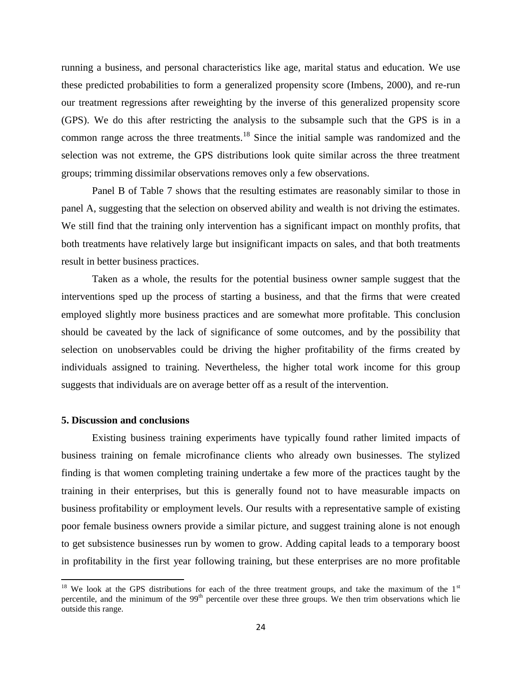running a business, and personal characteristics like age, marital status and education. We use these predicted probabilities to form a generalized propensity score (Imbens, 2000), and re-run our treatment regressions after reweighting by the inverse of this generalized propensity score (GPS). We do this after restricting the analysis to the subsample such that the GPS is in a common range across the three treatments.<sup>18</sup> Since the initial sample was randomized and the selection was not extreme, the GPS distributions look quite similar across the three treatment groups; trimming dissimilar observations removes only a few observations.

Panel B of Table 7 shows that the resulting estimates are reasonably similar to those in panel A, suggesting that the selection on observed ability and wealth is not driving the estimates. We still find that the training only intervention has a significant impact on monthly profits, that both treatments have relatively large but insignificant impacts on sales, and that both treatments result in better business practices.

Taken as a whole, the results for the potential business owner sample suggest that the interventions sped up the process of starting a business, and that the firms that were created employed slightly more business practices and are somewhat more profitable. This conclusion should be caveated by the lack of significance of some outcomes, and by the possibility that selection on unobservables could be driving the higher profitability of the firms created by individuals assigned to training. Nevertheless, the higher total work income for this group suggests that individuals are on average better off as a result of the intervention.

#### **5. Discussion and conclusions**

 $\overline{\phantom{a}}$ 

Existing business training experiments have typically found rather limited impacts of business training on female microfinance clients who already own businesses. The stylized finding is that women completing training undertake a few more of the practices taught by the training in their enterprises, but this is generally found not to have measurable impacts on business profitability or employment levels. Our results with a representative sample of existing poor female business owners provide a similar picture, and suggest training alone is not enough to get subsistence businesses run by women to grow. Adding capital leads to a temporary boost in profitability in the first year following training, but these enterprises are no more profitable

 $18$  We look at the GPS distributions for each of the three treatment groups, and take the maximum of the  $1<sup>st</sup>$ percentile, and the minimum of the  $99<sup>th</sup>$  percentile over these three groups. We then trim observations which lie outside this range.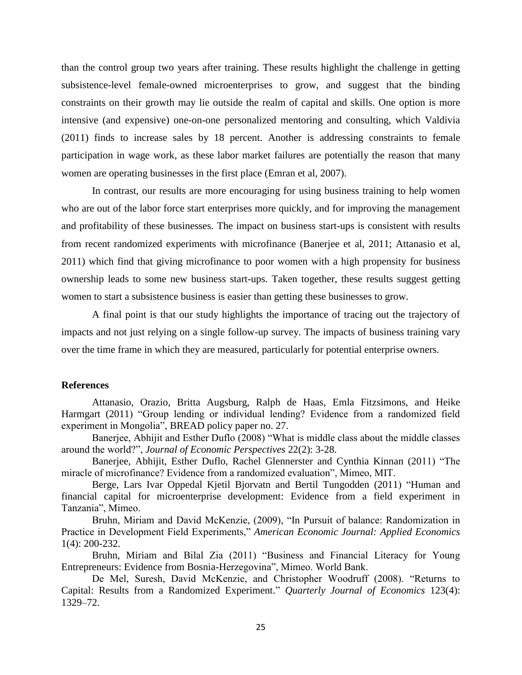than the control group two years after training. These results highlight the challenge in getting subsistence-level female-owned microenterprises to grow, and suggest that the binding constraints on their growth may lie outside the realm of capital and skills. One option is more intensive (and expensive) one-on-one personalized mentoring and consulting, which Valdivia (2011) finds to increase sales by 18 percent. Another is addressing constraints to female participation in wage work, as these labor market failures are potentially the reason that many women are operating businesses in the first place (Emran et al, 2007).

In contrast, our results are more encouraging for using business training to help women who are out of the labor force start enterprises more quickly, and for improving the management and profitability of these businesses. The impact on business start-ups is consistent with results from recent randomized experiments with microfinance (Banerjee et al, 2011; Attanasio et al, 2011) which find that giving microfinance to poor women with a high propensity for business ownership leads to some new business start-ups. Taken together, these results suggest getting women to start a subsistence business is easier than getting these businesses to grow.

A final point is that our study highlights the importance of tracing out the trajectory of impacts and not just relying on a single follow-up survey. The impacts of business training vary over the time frame in which they are measured, particularly for potential enterprise owners.

#### **References**

Attanasio, Orazio, Britta Augsburg, Ralph de Haas, Emla Fitzsimons, and Heike Harmgart (2011) "Group lending or individual lending? Evidence from a randomized field experiment in Mongolia", BREAD policy paper no. 27.

Banerjee, Abhijit and Esther Duflo (2008) "What is middle class about the middle classes around the world?", *Journal of Economic Perspectives* 22(2): 3-28.

Banerjee, Abhijit, Esther Duflo, Rachel Glennerster and Cynthia Kinnan (2011) "The miracle of microfinance? Evidence from a randomized evaluation", Mimeo, MIT.

Berge, Lars Ivar Oppedal Kjetil Bjorvatn and Bertil Tungodden (2011) "Human and financial capital for microenterprise development: Evidence from a field experiment in Tanzania", Mimeo.

Bruhn, Miriam and David McKenzie, (2009), "In Pursuit of balance: Randomization in Practice in Development Field Experiments," *American Economic Journal: Applied Economics* 1(4): 200-232.

Bruhn, Miriam and Bilal Zia (2011) "Business and Financial Literacy for Young Entrepreneurs: Evidence from Bosnia-Herzegovina", Mimeo. World Bank.

De Mel, Suresh, David McKenzie, and Christopher Woodruff (2008). "Returns to Capital: Results from a Randomized Experiment." *Quarterly Journal of Economics* 123(4): 1329–72.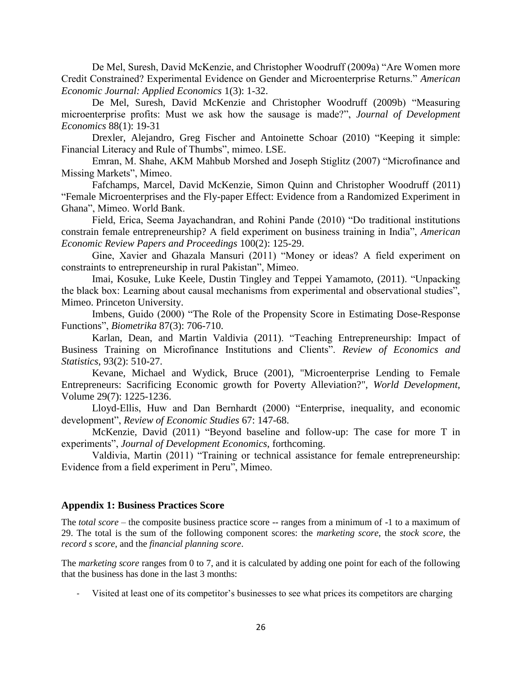De Mel, Suresh, David McKenzie, and Christopher Woodruff (2009a) "Are Women more Credit Constrained? Experimental Evidence on Gender and Microenterprise Returns." *American Economic Journal: Applied Economics* 1(3): 1-32.

De Mel, Suresh, David McKenzie and Christopher Woodruff (2009b) "Measuring microenterprise profits: Must we ask how the sausage is made?", *Journal of Development Economics* 88(1): 19-31

Drexler, Alejandro, Greg Fischer and Antoinette Schoar (2010) "Keeping it simple: Financial Literacy and Rule of Thumbs", mimeo. LSE.

Emran, M. Shahe, AKM Mahbub Morshed and Joseph Stiglitz (2007) "Microfinance and Missing Markets", Mimeo.

Fafchamps, Marcel, David McKenzie, Simon Quinn and Christopher Woodruff (2011) "Female Microenterprises and the Fly-paper Effect: Evidence from a Randomized Experiment in Ghana", Mimeo. World Bank.

Field, Erica, Seema Jayachandran, and Rohini Pande (2010) "Do traditional institutions constrain female entrepreneurship? A field experiment on business training in India", *American Economic Review Papers and Proceedings* 100(2): 125-29.

Gine, Xavier and Ghazala Mansuri (2011) "Money or ideas? A field experiment on constraints to entrepreneurship in rural Pakistan", Mimeo.

Imai, Kosuke, Luke Keele, Dustin Tingley and Teppei Yamamoto, (2011). "Unpacking the black box: Learning about causal mechanisms from experimental and observational studies", Mimeo. Princeton University.

Imbens, Guido (2000) "The Role of the Propensity Score in Estimating Dose-Response Functions", *Biometrika* 87(3): 706-710.

Karlan, Dean, and Martin Valdivia (2011). "Teaching Entrepreneurship: Impact of Business Training on Microfinance Institutions and Clients". *Review of Economics and Statistics*, 93(2): 510-27.

Kevane, Michael and Wydick, Bruce (2001), "Microenterprise Lending to Female Entrepreneurs: Sacrificing Economic growth for Poverty Alleviation?", *World Development*, Volume 29(7): 1225-1236.

Lloyd-Ellis, Huw and Dan Bernhardt (2000) "Enterprise, inequality, and economic development", *Review of Economic Studies* 67: 147-68.

McKenzie, David (2011) "Beyond baseline and follow-up: The case for more T in experiments", *Journal of Development Economics*, forthcoming.

Valdivia, Martin (2011) "Training or technical assistance for female entrepreneurship: Evidence from a field experiment in Peru", Mimeo.

#### **Appendix 1: Business Practices Score**

The *total score* – the composite business practice score -- ranges from a minimum of -1 to a maximum of 29. The total is the sum of the following component scores: the *marketing score*, the *stock score*, the *record s score*, and the *financial planning score*.

The *marketing score* ranges from 0 to 7, and it is calculated by adding one point for each of the following that the business has done in the last 3 months:

Visited at least one of its competitor's businesses to see what prices its competitors are charging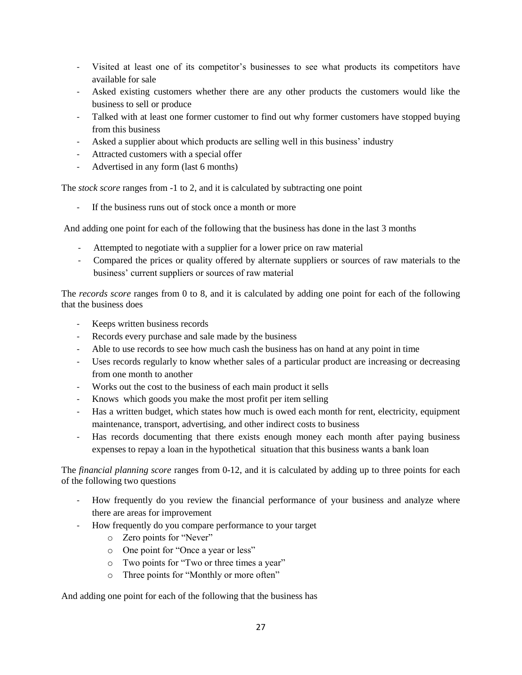- Visited at least one of its competitor's businesses to see what products its competitors have available for sale
- Asked existing customers whether there are any other products the customers would like the business to sell or produce
- Talked with at least one former customer to find out why former customers have stopped buying from this business
- Asked a supplier about which products are selling well in this business' industry
- Attracted customers with a special offer
- Advertised in any form (last 6 months)

The *stock score* ranges from -1 to 2, and it is calculated by subtracting one point

If the business runs out of stock once a month or more

And adding one point for each of the following that the business has done in the last 3 months

- Attempted to negotiate with a supplier for a lower price on raw material
- Compared the prices or quality offered by alternate suppliers or sources of raw materials to the business' current suppliers or sources of raw material

The *records score* ranges from 0 to 8, and it is calculated by adding one point for each of the following that the business does

- Keeps written business records
- Records every purchase and sale made by the business
- Able to use records to see how much cash the business has on hand at any point in time
- Uses records regularly to know whether sales of a particular product are increasing or decreasing from one month to another
- Works out the cost to the business of each main product it sells
- Knows which goods you make the most profit per item selling
- Has a written budget, which states how much is owed each month for rent, electricity, equipment maintenance, transport, advertising, and other indirect costs to business
- Has records documenting that there exists enough money each month after paying business expenses to repay a loan in the hypothetical situation that this business wants a bank loan

The *financial planning score* ranges from 0-12, and it is calculated by adding up to three points for each of the following two questions

- How frequently do you review the financial performance of your business and analyze where there are areas for improvement
- How frequently do you compare performance to your target
	- o Zero points for "Never"
	- o One point for "Once a year or less"
	- o Two points for "Two or three times a year"
	- o Three points for "Monthly or more often"

And adding one point for each of the following that the business has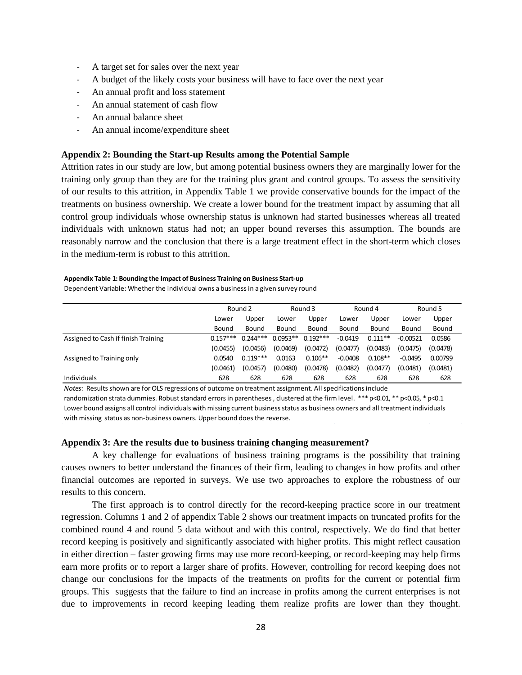- A target set for sales over the next year
- A budget of the likely costs your business will have to face over the next year
- An annual profit and loss statement
- An annual statement of cash flow
- An annual balance sheet
- An annual income/expenditure sheet

#### **Appendix 2: Bounding the Start-up Results among the Potential Sample**

Attrition rates in our study are low, but among potential business owners they are marginally lower for the training only group than they are for the training plus grant and control groups. To assess the sensitivity of our results to this attrition, in Appendix Table 1 we provide conservative bounds for the impact of the treatments on business ownership. We create a lower bound for the treatment impact by assuming that all control group individuals whose ownership status is unknown had started businesses whereas all treated individuals with unknown status had not; an upper bound reverses this assumption. The bounds are reasonably narrow and the conclusion that there is a large treatment effect in the short-term which closes in the medium-term is robust to this attrition.

#### **Appendix Table 1: Bounding the Impact of Business Training on Business Start-up**

| Appendix Table 1: Bounding the Impact of Business Training on Business Start-up<br>Dependent Variable: Whether the individual owns a business in a given survey round |            |            |            |            |           |           |            |          |
|-----------------------------------------------------------------------------------------------------------------------------------------------------------------------|------------|------------|------------|------------|-----------|-----------|------------|----------|
|                                                                                                                                                                       |            | Round 2    |            | Round 3    |           | Round 4   |            | Round 5  |
|                                                                                                                                                                       | Lower      | Upper      | Lower      | Upper      | Lower     | Upper     | Lower      | Upper    |
|                                                                                                                                                                       | Bound      | Bound      | Bound      | Bound      | Bound     | Bound     | Bound      | Bound    |
| Assigned to Cash if finish Training                                                                                                                                   | $0.157***$ | $0.244***$ | $0.0953**$ | $0.192***$ | $-0.0419$ | $0.111**$ | $-0.00521$ | 0.0586   |
|                                                                                                                                                                       | (0.0455)   | (0.0456)   | (0.0469)   | (0.0472)   | (0.0477)  | (0.0483)  | (0.0475)   | (0.0478) |
| Assigned to Training only                                                                                                                                             | 0.0540     | $0.119***$ | 0.0163     | $0.106**$  | $-0.0408$ | $0.108**$ | $-0.0495$  | 0.00799  |
|                                                                                                                                                                       | (0.0461)   | (0.0457)   | (0.0480)   | (0.0478)   | (0.0482)  | (0.0477)  | (0.0481)   | (0.0481) |
| <b>Individuals</b>                                                                                                                                                    | 628        | 628        | 628        | 628        | 628       | 628       | 628        | 628      |
| Notes: Results shown are for OLS regressions of outcome on treatment assignment. All specifications include                                                           |            |            |            |            |           |           |            |          |

randomization strata dummies. Robust standard errors in parentheses, clustered at the firm level. \*\*\* p<0.01, \*\* p<0.05, \* p<0.1 Lower bound assigns all control individuals with missing current business status as business owners and all treatment individuals with missing status as non-business owners. Upper bound does the reverse.

#### **Appendix 3: Are the results due to business training changing measurement?**

A key challenge for evaluations of business training programs is the possibility that training causes owners to better understand the finances of their firm, leading to changes in how profits and other financial outcomes are reported in surveys. We use two approaches to explore the robustness of our results to this concern.

The first approach is to control directly for the record-keeping practice score in our treatment regression. Columns 1 and 2 of appendix Table 2 shows our treatment impacts on truncated profits for the combined round 4 and round 5 data without and with this control, respectively. We do find that better record keeping is positively and significantly associated with higher profits. This might reflect causation in either direction – faster growing firms may use more record-keeping, or record-keeping may help firms earn more profits or to report a larger share of profits. However, controlling for record keeping does not change our conclusions for the impacts of the treatments on profits for the current or potential firm groups. This suggests that the failure to find an increase in profits among the current enterprises is not due to improvements in record keeping leading them realize profits are lower than they thought.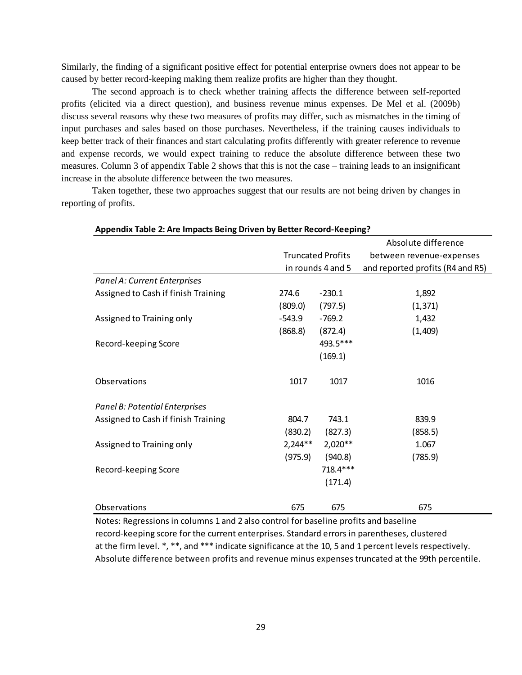Similarly, the finding of a significant positive effect for potential enterprise owners does not appear to be caused by better record-keeping making them realize profits are higher than they thought.

The second approach is to check whether training affects the difference between self-reported profits (elicited via a direct question), and business revenue minus expenses. De Mel et al. (2009b) discuss several reasons why these two measures of profits may differ, such as mismatches in the timing of input purchases and sales based on those purchases. Nevertheless, if the training causes individuals to keep better track of their finances and start calculating profits differently with greater reference to revenue and expense records, we would expect training to reduce the absolute difference between these two measures. Column 3 of appendix Table 2 shows that this is not the case – training leads to an insignificant increase in the absolute difference between the two measures.

Taken together, these two approaches suggest that our results are not being driven by changes in reporting of profits.

| Appendix Table 2: Are Impacts Being Driven by Better Record-Keeping?                 |           |                          |                                  |  |  |  |  |  |  |  |
|--------------------------------------------------------------------------------------|-----------|--------------------------|----------------------------------|--|--|--|--|--|--|--|
|                                                                                      |           |                          | Absolute difference              |  |  |  |  |  |  |  |
|                                                                                      |           | <b>Truncated Profits</b> | between revenue-expenses         |  |  |  |  |  |  |  |
|                                                                                      |           | in rounds 4 and 5        | and reported profits (R4 and R5) |  |  |  |  |  |  |  |
| Panel A: Current Enterprises                                                         |           |                          |                                  |  |  |  |  |  |  |  |
| Assigned to Cash if finish Training                                                  | 274.6     | $-230.1$                 | 1,892                            |  |  |  |  |  |  |  |
|                                                                                      | (809.0)   | (797.5)                  | (1, 371)                         |  |  |  |  |  |  |  |
| Assigned to Training only                                                            | $-543.9$  | $-769.2$                 | 1,432                            |  |  |  |  |  |  |  |
|                                                                                      | (868.8)   | (872.4)                  | (1,409)                          |  |  |  |  |  |  |  |
| Record-keeping Score                                                                 |           | 493.5***                 |                                  |  |  |  |  |  |  |  |
|                                                                                      |           | (169.1)                  |                                  |  |  |  |  |  |  |  |
| Observations                                                                         | 1017      | 1017                     | 1016                             |  |  |  |  |  |  |  |
| Panel B: Potential Enterprises                                                       |           |                          |                                  |  |  |  |  |  |  |  |
| Assigned to Cash if finish Training                                                  | 804.7     | 743.1                    | 839.9                            |  |  |  |  |  |  |  |
|                                                                                      | (830.2)   | (827.3)                  | (858.5)                          |  |  |  |  |  |  |  |
| Assigned to Training only                                                            | $2,244**$ | $2,020**$                | 1.067                            |  |  |  |  |  |  |  |
|                                                                                      | (975.9)   | (940.8)                  | (785.9)                          |  |  |  |  |  |  |  |
| Record-keeping Score                                                                 |           | 718.4***                 |                                  |  |  |  |  |  |  |  |
|                                                                                      |           | (171.4)                  |                                  |  |  |  |  |  |  |  |
| Observations                                                                         | 675       | 675                      | 675                              |  |  |  |  |  |  |  |
| Notes: Regressions in columns 1 and 2 also control for baseline profits and baseline |           |                          |                                  |  |  |  |  |  |  |  |

record-keeping score for the current enterprises. Standard errors in parentheses, clustered at the firm level. \*, \*\*, and \*\*\* indicate significance at the 10, 5 and 1 percent levels respectively. Absolute difference between profits and revenue minus expenses truncated at the 99th percentile.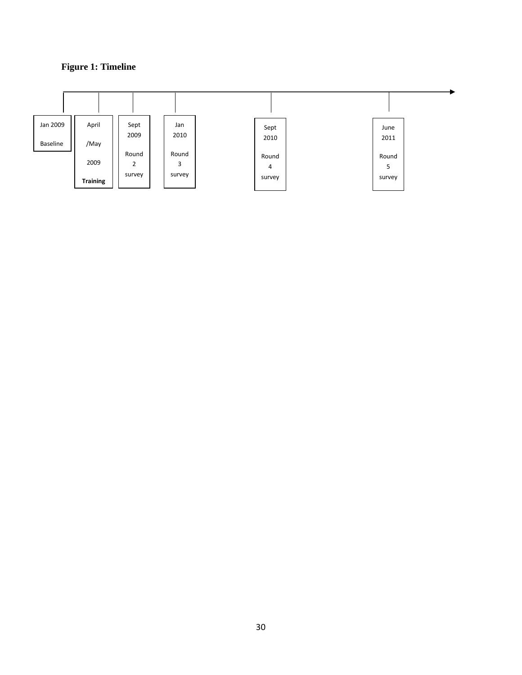## **Figure 1: Timeline**

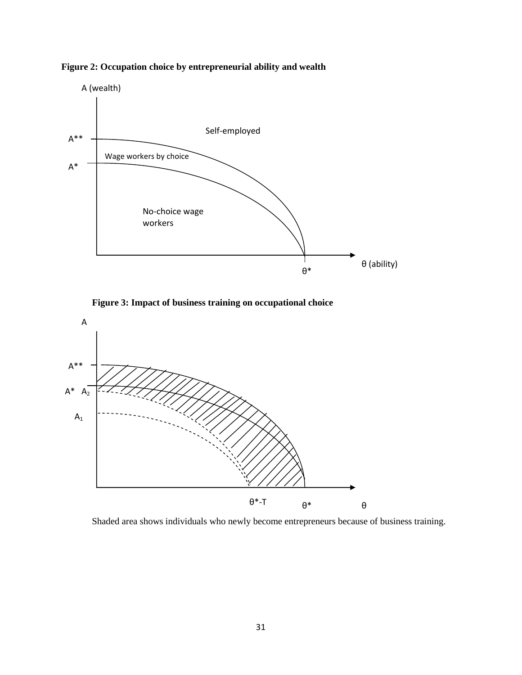

**Figure 2: Occupation choice by entrepreneurial ability and wealth** 



**Figure 3: Impact of business training on occupational choice** 



Shaded area shows individuals who newly become entrepreneurs because of business training.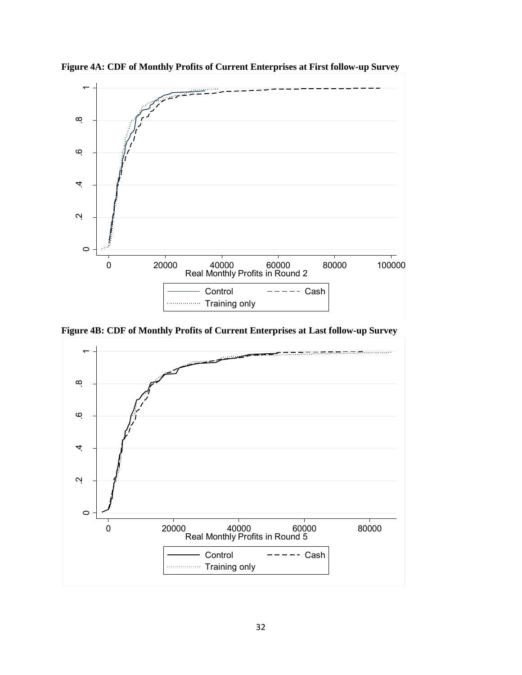

**Figure 4A: CDF of Monthly Profits of Current Enterprises at First follow-up Survey** 

**Figure 4B: CDF of Monthly Profits of Current Enterprises at Last follow-up Survey** 

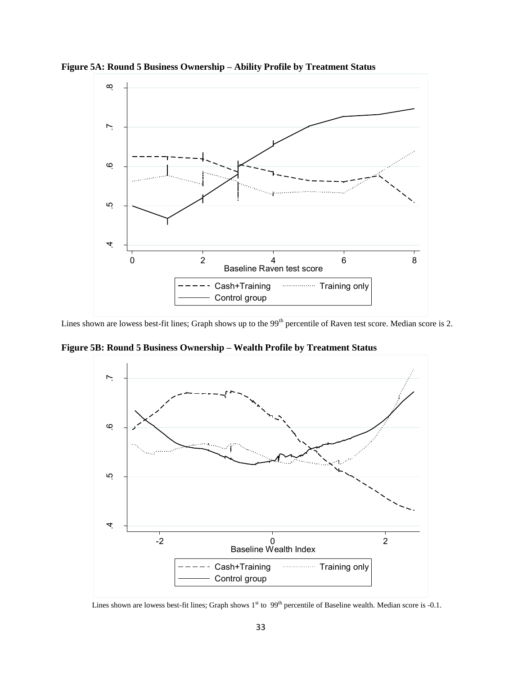

**Figure 5A: Round 5 Business Ownership – Ability Profile by Treatment Status** 

Lines shown are lowess best-fit lines; Graph shows up to the 99<sup>th</sup> percentile of Raven test score. Median score is 2.

**Figure 5B: Round 5 Business Ownership – Wealth Profile by Treatment Status** 

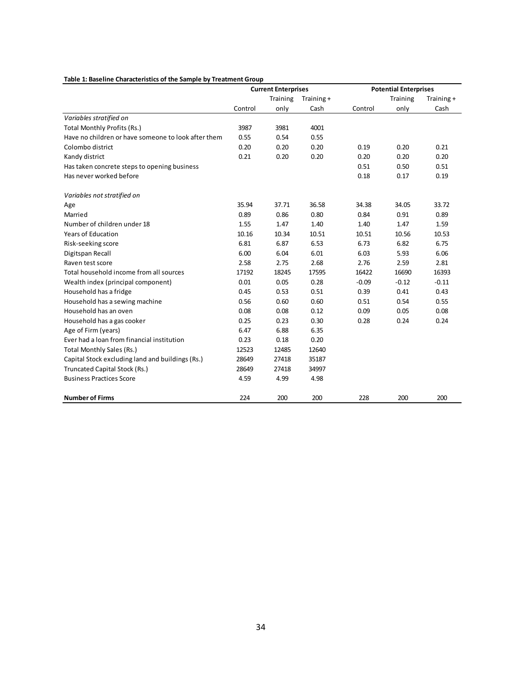|                                                     |         | <b>Current Enterprises</b> |            |         | <b>Potential Enterprises</b> |            |
|-----------------------------------------------------|---------|----------------------------|------------|---------|------------------------------|------------|
|                                                     |         | Training                   | Training + |         | Training                     | Training + |
|                                                     | Control | only                       | Cash       | Control | only                         | Cash       |
| Variables stratified on                             |         |                            |            |         |                              |            |
| Total Monthly Profits (Rs.)                         | 3987    | 3981                       | 4001       |         |                              |            |
| Have no children or have someone to look after them | 0.55    | 0.54                       | 0.55       |         |                              |            |
| Colombo district                                    | 0.20    | 0.20                       | 0.20       | 0.19    | 0.20                         | 0.21       |
| Kandy district                                      | 0.21    | 0.20                       | 0.20       | 0.20    | 0.20                         | 0.20       |
| Has taken concrete steps to opening business        |         |                            |            | 0.51    | 0.50                         | 0.51       |
| Has never worked before                             |         |                            |            | 0.18    | 0.17                         | 0.19       |
| Variables not stratified on                         |         |                            |            |         |                              |            |
| Age                                                 | 35.94   | 37.71                      | 36.58      | 34.38   | 34.05                        | 33.72      |
| Married                                             | 0.89    | 0.86                       | 0.80       | 0.84    | 0.91                         | 0.89       |
| Number of children under 18                         | 1.55    | 1.47                       | 1.40       | 1.40    | 1.47                         | 1.59       |
| <b>Years of Education</b>                           | 10.16   | 10.34                      | 10.51      | 10.51   | 10.56                        | 10.53      |
| Risk-seeking score                                  | 6.81    | 6.87                       | 6.53       | 6.73    | 6.82                         | 6.75       |
| Digitspan Recall                                    | 6.00    | 6.04                       | 6.01       | 6.03    | 5.93                         | 6.06       |
| Raven test score                                    | 2.58    | 2.75                       | 2.68       | 2.76    | 2.59                         | 2.81       |
| Total household income from all sources             | 17192   | 18245                      | 17595      | 16422   | 16690                        | 16393      |
| Wealth index (principal component)                  | 0.01    | 0.05                       | 0.28       | $-0.09$ | $-0.12$                      | $-0.11$    |
| Household has a fridge                              | 0.45    | 0.53                       | 0.51       | 0.39    | 0.41                         | 0.43       |
| Household has a sewing machine                      | 0.56    | 0.60                       | 0.60       | 0.51    | 0.54                         | 0.55       |
| Household has an oven                               | 0.08    | 0.08                       | 0.12       | 0.09    | 0.05                         | 0.08       |
| Household has a gas cooker                          | 0.25    | 0.23                       | 0.30       | 0.28    | 0.24                         | 0.24       |
| Age of Firm (years)                                 | 6.47    | 6.88                       | 6.35       |         |                              |            |
| Ever had a loan from financial institution          | 0.23    | 0.18                       | 0.20       |         |                              |            |
| Total Monthly Sales (Rs.)                           | 12523   | 12485                      | 12640      |         |                              |            |
| Capital Stock excluding land and buildings (Rs.)    | 28649   | 27418                      | 35187      |         |                              |            |
| Truncated Capital Stock (Rs.)                       | 28649   | 27418                      | 34997      |         |                              |            |
| <b>Business Practices Score</b>                     | 4.59    | 4.99                       | 4.98       |         |                              |            |
| <b>Number of Firms</b>                              | 224     | 200                        | 200        | 228     | 200                          | 200        |

#### **Table 1: Baseline Characteristics of the Sample by Treatment Group**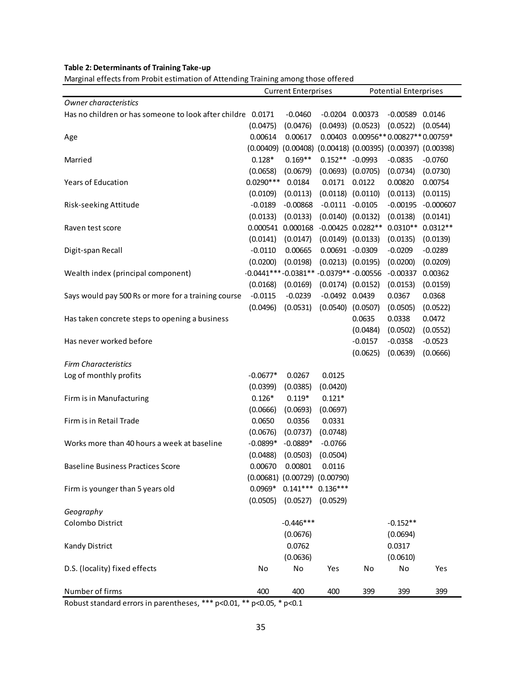| Marginal effects from Probit estimation of Attending Training among those offered |             |                                        |                       |           |                                                 |             |  |  |
|-----------------------------------------------------------------------------------|-------------|----------------------------------------|-----------------------|-----------|-------------------------------------------------|-------------|--|--|
|                                                                                   |             | <b>Current Enterprises</b>             |                       |           | <b>Potential Enterprises</b>                    |             |  |  |
| Owner characteristics                                                             |             |                                        |                       |           |                                                 |             |  |  |
| Has no children or has someone to look after childre 0.0171                       |             | $-0.0460$                              | $-0.0204$ $0.00373$   |           | $-0.00589$ $0.0146$                             |             |  |  |
|                                                                                   | (0.0475)    | (0.0476)                               | $(0.0493)$ $(0.0523)$ |           | (0.0522)                                        | (0.0544)    |  |  |
| Age                                                                               | 0.00614     | 0.00617                                |                       |           | $0.00403$ $0.00956**0.00827**0.00759*$          |             |  |  |
|                                                                                   |             | $(0.00409)$ $(0.00408)$                |                       |           | $(0.00418)$ $(0.00395)$ $(0.00397)$ $(0.00398)$ |             |  |  |
| Married                                                                           | $0.128*$    | $0.169**$                              | $0.152** -0.0993$     |           | $-0.0835$                                       | $-0.0760$   |  |  |
|                                                                                   | (0.0658)    | (0.0679)                               | $(0.0693)$ $(0.0705)$ |           | (0.0734)                                        | (0.0730)    |  |  |
| Years of Education                                                                | $0.0290***$ | 0.0184                                 | 0.0171 0.0122         |           | 0.00820                                         | 0.00754     |  |  |
|                                                                                   | (0.0109)    | (0.0113)                               | $(0.0118)$ $(0.0110)$ |           | (0.0113)                                        | (0.0115)    |  |  |
| Risk-seeking Attitude                                                             | $-0.0189$   | $-0.00868$                             | $-0.0111 - 0.0105$    |           | $-0.00195$                                      | $-0.000607$ |  |  |
|                                                                                   | (0.0133)    | (0.0133)                               | $(0.0140)$ $(0.0132)$ |           | (0.0138)                                        | (0.0141)    |  |  |
| Raven test score                                                                  |             | 0.000541 0.000168                      | $-0.00425$ 0.0282**   |           | $0.0310**$                                      | $0.0312**$  |  |  |
|                                                                                   | (0.0141)    | (0.0147)                               | $(0.0149)$ $(0.0133)$ |           | (0.0135)                                        | (0.0139)    |  |  |
| Digit-span Recall                                                                 | $-0.0110$   | 0.00665                                | 0.00691 -0.0309       |           | $-0.0209$                                       | $-0.0289$   |  |  |
|                                                                                   | (0.0200)    | (0.0198)                               | $(0.0213)$ $(0.0195)$ |           | (0.0200)                                        | (0.0209)    |  |  |
| Wealth index (principal component)                                                |             | $-0.0441***-0.0381**-0.0379**-0.00556$ |                       |           | $-0.00337$                                      | 0.00362     |  |  |
|                                                                                   | (0.0168)    | (0.0169)                               | $(0.0174)$ $(0.0152)$ |           | (0.0153)                                        | (0.0159)    |  |  |
| Says would pay 500 Rs or more for a training course                               | $-0.0115$   | $-0.0239$                              | $-0.0492$ $0.0439$    |           | 0.0367                                          | 0.0368      |  |  |
|                                                                                   | (0.0496)    | (0.0531)                               | $(0.0540)$ $(0.0507)$ |           | (0.0505)                                        | (0.0522)    |  |  |
| Has taken concrete steps to opening a business                                    |             |                                        |                       | 0.0635    | 0.0338                                          | 0.0472      |  |  |
|                                                                                   |             |                                        |                       | (0.0484)  | (0.0502)                                        | (0.0552)    |  |  |
| Has never worked before                                                           |             |                                        |                       | $-0.0157$ | $-0.0358$                                       | $-0.0523$   |  |  |
|                                                                                   |             |                                        |                       | (0.0625)  | (0.0639)                                        | (0.0666)    |  |  |
| <b>Firm Characteristics</b>                                                       |             |                                        |                       |           |                                                 |             |  |  |
| Log of monthly profits                                                            | $-0.0677*$  | 0.0267                                 | 0.0125                |           |                                                 |             |  |  |
|                                                                                   | (0.0399)    | (0.0385)                               | (0.0420)              |           |                                                 |             |  |  |
| Firm is in Manufacturing                                                          | $0.126*$    | $0.119*$                               | $0.121*$              |           |                                                 |             |  |  |
|                                                                                   | (0.0666)    | (0.0693)                               | (0.0697)              |           |                                                 |             |  |  |
| Firm is in Retail Trade                                                           | 0.0650      | 0.0356                                 | 0.0331                |           |                                                 |             |  |  |
|                                                                                   | (0.0676)    | (0.0737)                               | (0.0748)              |           |                                                 |             |  |  |
| Works more than 40 hours a week at baseline                                       | -0.0899*    | $-0.0889*$                             | $-0.0766$             |           |                                                 |             |  |  |
|                                                                                   | (0.0488)    | $(0.0503)$ $(0.0504)$                  |                       |           |                                                 |             |  |  |
| <b>Baseline Business Practices Score</b>                                          | 0.00670     | 0.00801                                | 0.0116                |           |                                                 |             |  |  |
|                                                                                   |             | $(0.00681)$ $(0.00729)$ $(0.00790)$    |                       |           |                                                 |             |  |  |
| Firm is younger than 5 years old                                                  |             | $0.0969*$ $0.141***$ $0.136***$        |                       |           |                                                 |             |  |  |
|                                                                                   | (0.0505)    | $(0.0527)$ $(0.0529)$                  |                       |           |                                                 |             |  |  |
| Geography                                                                         |             |                                        |                       |           |                                                 |             |  |  |
| Colombo District                                                                  |             | $-0.446***$                            |                       |           | $-0.152**$                                      |             |  |  |
|                                                                                   |             | (0.0676)                               |                       |           | (0.0694)                                        |             |  |  |
| Kandy District                                                                    |             | 0.0762                                 |                       |           | 0.0317                                          |             |  |  |
|                                                                                   |             | (0.0636)                               |                       |           | (0.0610)                                        |             |  |  |
| D.S. (locality) fixed effects                                                     | No          | No                                     | Yes                   | No        | No                                              | Yes         |  |  |
|                                                                                   |             |                                        |                       |           |                                                 |             |  |  |
| Number of firms                                                                   | 400         | 400                                    | 400                   | 399       | 399                                             | 399         |  |  |
| Robust standard errors in parentheses, *** p<0.01, ** p<0.05, * p<0.1             |             |                                        |                       |           |                                                 |             |  |  |

#### **Table 2: Determinants of Training Take-up**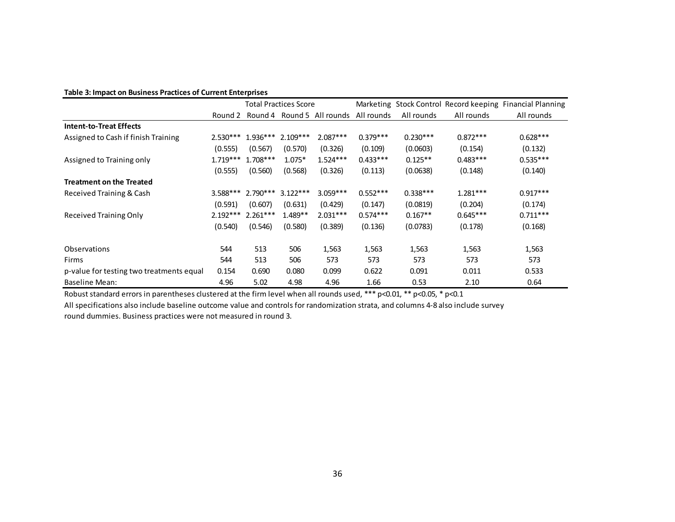#### **Table 3: Impact on Business Practices of Current Enterprises**

|                                          |            | Table 3: Impact on Business Practices of Current Enterprises | <b>Total Practices Score</b> |                                               |            |            |            | Marketing Stock Control Record keeping Financial Planning |
|------------------------------------------|------------|--------------------------------------------------------------|------------------------------|-----------------------------------------------|------------|------------|------------|-----------------------------------------------------------|
|                                          |            |                                                              |                              | Round 2 Round 4 Round 5 All rounds All rounds |            | All rounds | All rounds | All rounds                                                |
| <b>Intent-to-Treat Effects</b>           |            |                                                              |                              |                                               |            |            |            |                                                           |
| Assigned to Cash if finish Training      | $2.530***$ | 1.936***                                                     | $2.109***$                   | $2.087***$                                    | $0.379***$ | $0.230***$ | $0.872***$ | $0.628***$                                                |
|                                          | (0.555)    | (0.567)                                                      | (0.570)                      | (0.326)                                       | (0.109)    | (0.0603)   | (0.154)    | (0.132)                                                   |
| Assigned to Training only                | $1.719***$ | $1.708***$                                                   | $1.075*$                     | $1.524***$                                    | $0.433***$ | $0.125**$  | $0.483***$ | $0.535***$                                                |
|                                          | (0.555)    | (0.560)                                                      | (0.568)                      | (0.326)                                       | (0.113)    | (0.0638)   | (0.148)    | (0.140)                                                   |
| <b>Treatment on the Treated</b>          |            |                                                              |                              |                                               |            |            |            |                                                           |
| Received Training & Cash                 | 3.588***   | $2.790***$                                                   | $3.122***$                   | $3.059***$                                    | $0.552***$ | $0.338***$ | $1.281***$ | $0.917***$                                                |
|                                          | (0.591)    | (0.607)                                                      | (0.631)                      | (0.429)                                       | (0.147)    | (0.0819)   | (0.204)    | (0.174)                                                   |
| <b>Received Training Only</b>            | $2.192***$ | $2.261***$                                                   | $1.489**$                    | $2.031***$                                    | $0.574***$ | $0.167**$  | $0.645***$ | $0.711***$                                                |
|                                          | (0.540)    | (0.546)                                                      | (0.580)                      | (0.389)                                       | (0.136)    | (0.0783)   | (0.178)    | (0.168)                                                   |
| Observations                             | 544        | 513                                                          | 506                          | 1,563                                         | 1,563      | 1,563      | 1,563      | 1,563                                                     |
| Firms                                    | 544        | 513                                                          | 506                          | 573                                           | 573        | 573        | 573        | 573                                                       |
| p-value for testing two treatments equal | 0.154      | 0.690                                                        | 0.080                        | 0.099                                         | 0.622      | 0.091      | 0.011      | 0.533                                                     |
| <b>Baseline Mean:</b>                    | 4.96       | 5.02                                                         | 4.98                         | 4.96                                          | 1.66       | 0.53       | 2.10       | 0.64                                                      |

All specifications also include baseline outcome value and controls for randomization strata, and columns 4-8 also include survey round dummies. Business practices were not measured in round 3.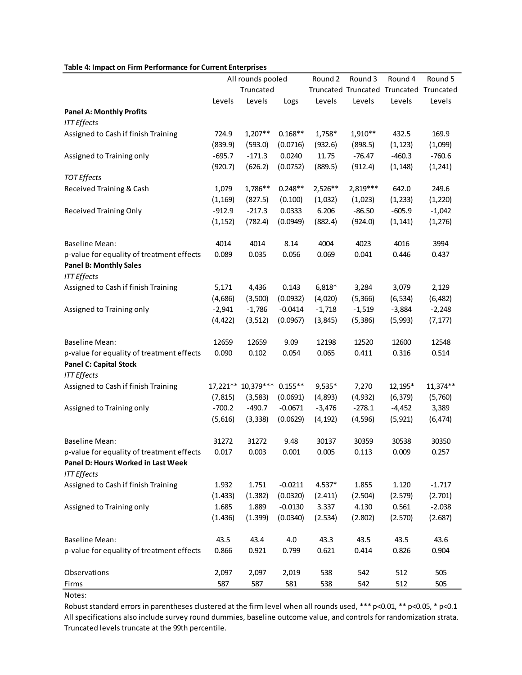| Table 4: Impact on Firm Performance for Current Enterprises                     |          |                    |                      |           |          |                                         |          |
|---------------------------------------------------------------------------------|----------|--------------------|----------------------|-----------|----------|-----------------------------------------|----------|
|                                                                                 |          | All rounds pooled  |                      | Round 2   | Round 3  | Round 4                                 | Round 5  |
|                                                                                 |          | Truncated          |                      |           |          | Truncated Truncated Truncated Truncated |          |
|                                                                                 | Levels   | Levels             | Logs                 | Levels    | Levels   | Levels                                  | Levels   |
| <b>Panel A: Monthly Profits</b><br><b>ITT Effects</b>                           |          |                    |                      |           |          |                                         |          |
| Assigned to Cash if finish Training                                             | 724.9    | $1,207**$          | $0.168**$            | 1,758*    | 1,910**  | 432.5                                   | 169.9    |
|                                                                                 | (839.9)  | (593.0)            | (0.0716)             | (932.6)   | (898.5)  | (1, 123)                                | (1,099)  |
| Assigned to Training only                                                       | $-695.7$ | $-171.3$           | 0.0240               | 11.75     | $-76.47$ | $-460.3$                                | $-760.6$ |
|                                                                                 | (920.7)  | (626.2)            | (0.0752)             | (889.5)   | (912.4)  | (1, 148)                                | (1, 241) |
| <b>TOT Effects</b>                                                              |          |                    |                      |           |          |                                         |          |
| Received Training & Cash                                                        | 1,079    | 1,786**            | $0.248**$            | $2,526**$ | 2,819*** | 642.0                                   | 249.6    |
|                                                                                 | (1, 169) | (827.5)            | (0.100)              | (1,032)   | (1,023)  | (1, 233)                                | (1, 220) |
| <b>Received Training Only</b>                                                   | $-912.9$ | $-217.3$           | 0.0333               | 6.206     | $-86.50$ | $-605.9$                                | $-1,042$ |
|                                                                                 | (1, 152) | (782.4)            | (0.0949)             | (882.4)   | (924.0)  | (1, 141)                                | (1, 276) |
|                                                                                 |          |                    |                      |           |          |                                         |          |
| <b>Baseline Mean:</b>                                                           | 4014     | 4014               | 8.14                 | 4004      | 4023     | 4016                                    | 3994     |
| p-value for equality of treatment effects                                       | 0.089    | 0.035              | 0.056                | 0.069     | 0.041    | 0.446                                   | 0.437    |
| <b>Panel B: Monthly Sales</b>                                                   |          |                    |                      |           |          |                                         |          |
| <b>ITT</b> Effects                                                              |          |                    |                      |           |          |                                         |          |
| Assigned to Cash if finish Training                                             | 5,171    | 4,436              | 0.143                | $6,818*$  | 3,284    | 3,079                                   | 2,129    |
|                                                                                 | (4,686)  | (3,500)            | (0.0932)             | (4,020)   | (5, 366) | (6, 534)                                | (6, 482) |
| Assigned to Training only                                                       | $-2,941$ | $-1,786$           | $-0.0414$            | $-1,718$  | $-1,519$ | $-3,884$                                | $-2,248$ |
|                                                                                 | (4, 422) | (3, 512)           | (0.0967)             | (3, 845)  | (5, 386) | (5,993)                                 | (7, 177) |
| <b>Baseline Mean:</b>                                                           | 12659    | 12659              | 9.09                 | 12198     | 12520    | 12600                                   | 12548    |
| p-value for equality of treatment effects                                       | 0.090    | 0.102              | 0.054                | 0.065     | 0.411    | 0.316                                   | 0.514    |
| <b>Panel C: Capital Stock</b>                                                   |          |                    |                      |           |          |                                         |          |
| <b>ITT</b> Effects                                                              |          |                    |                      |           |          |                                         |          |
| Assigned to Cash if finish Training                                             |          | 17,221** 10,379*** | $0.155**$            | $9,535*$  | 7,270    | 12,195*                                 | 11,374** |
|                                                                                 | (7, 815) | (3, 583)           | (0.0691)             | (4,893)   | (4, 932) | (6, 379)                                | (5,760)  |
| Assigned to Training only                                                       | $-700.2$ | $-490.7$           | $-0.0671$            | $-3,476$  | $-278.1$ | $-4,452$                                | 3,389    |
|                                                                                 | (5,616)  |                    | $(3,338)$ $(0.0629)$ | (4, 192)  | (4, 596) | (5, 921)                                | (6, 474) |
|                                                                                 |          |                    |                      |           |          |                                         |          |
| <b>Baseline Mean:</b>                                                           | 31272    | 31272              | 9.48                 | 30137     | 30359    | 30538                                   | 30350    |
| p-value for equality of treatment effects<br>Panel D: Hours Worked in Last Week | 0.017    | 0.003              | 0.001                | 0.005     | 0.113    | 0.009                                   | 0.257    |
| <b>ITT</b> Effects                                                              |          |                    |                      |           |          |                                         |          |
| Assigned to Cash if finish Training                                             | 1.932    | 1.751              | $-0.0211$            | $4.537*$  | 1.855    | 1.120                                   | $-1.717$ |
|                                                                                 | (1.433)  | (1.382)            | (0.0320)             | (2.411)   | (2.504)  | (2.579)                                 | (2.701)  |
| Assigned to Training only                                                       | 1.685    | 1.889              | $-0.0130$            | 3.337     | 4.130    | 0.561                                   | $-2.038$ |
|                                                                                 | (1.436)  | (1.399)            | (0.0340)             | (2.534)   | (2.802)  | (2.570)                                 | (2.687)  |
|                                                                                 |          |                    |                      |           |          |                                         |          |
| <b>Baseline Mean:</b>                                                           | 43.5     | 43.4               | 4.0                  | 43.3      | 43.5     | 43.5                                    | 43.6     |
| p-value for equality of treatment effects                                       | 0.866    | 0.921              | 0.799                | 0.621     | 0.414    | 0.826                                   | 0.904    |
|                                                                                 |          |                    |                      |           |          |                                         |          |
| Observations                                                                    | 2,097    | 2,097              | 2,019                | 538       | 542      | 512                                     | 505      |
| Firms                                                                           | 587      | 587                | 581                  | 538       | 542      | 512                                     | 505      |
| Notes:                                                                          |          |                    |                      |           |          |                                         |          |

#### **Table 4: Impact on Firm Performance for Current Enterprises**

Robust standard errors in parentheses clustered at the firm level when all rounds used, \*\*\* p<0.01, \*\* p<0.05, \* p<0.1 All specifications also include survey round dummies, baseline outcome value, and controls for randomization strata. Truncated levels truncate at the 99th percentile.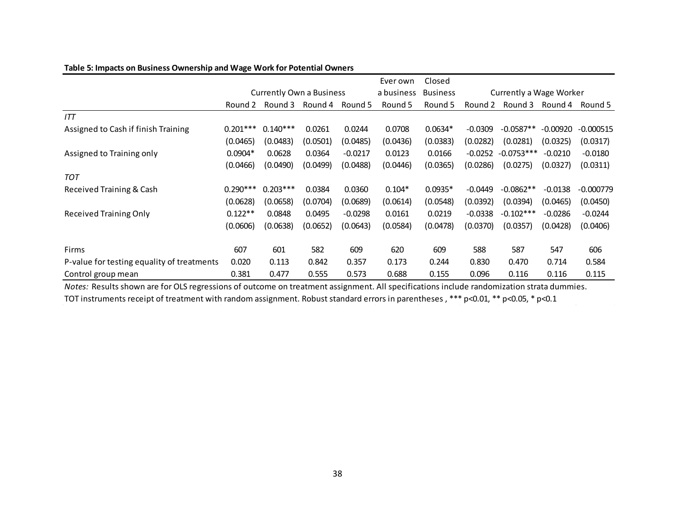|                                            |            |                                 |                         |           | Ever own   | Closed          |           |                         |            |                 |
|--------------------------------------------|------------|---------------------------------|-------------------------|-----------|------------|-----------------|-----------|-------------------------|------------|-----------------|
|                                            |            | <b>Currently Own a Business</b> |                         |           | a business | <b>Business</b> |           | Currently a Wage Worker |            |                 |
|                                            | Round 2    |                                 | Round 3 Round 4 Round 5 |           | Round 5    | Round 5         | Round 2   | Round 3                 |            | Round 4 Round 5 |
| ITT                                        |            |                                 |                         |           |            |                 |           |                         |            |                 |
| Assigned to Cash if finish Training        | $0.201***$ | $0.140***$                      | 0.0261                  | 0.0244    | 0.0708     | $0.0634*$       | $-0.0309$ | $-0.0587**$             | $-0.00920$ | $-0.000515$     |
|                                            | (0.0465)   | (0.0483)                        | (0.0501)                | (0.0485)  | (0.0436)   | (0.0383)        | (0.0282)  | (0.0281)                | (0.0325)   | (0.0317)        |
| Assigned to Training only                  | $0.0904*$  | 0.0628                          | 0.0364                  | $-0.0217$ | 0.0123     | 0.0166          | $-0.0252$ | $-0.0753***$            | $-0.0210$  | $-0.0180$       |
|                                            | (0.0466)   | (0.0490)                        | (0.0499)                | (0.0488)  | (0.0446)   | (0.0365)        | (0.0286)  | (0.0275)                | (0.0327)   | (0.0311)        |
| <b>TOT</b>                                 |            |                                 |                         |           |            |                 |           |                         |            |                 |
| Received Training & Cash                   | $0.290***$ | $0.203***$                      | 0.0384                  | 0.0360    | $0.104*$   | $0.0935*$       | $-0.0449$ | $-0.0862**$             | $-0.0138$  | $-0.000779$     |
|                                            | (0.0628)   | (0.0658)                        | (0.0704)                | (0.0689)  | (0.0614)   | (0.0548)        | (0.0392)  | (0.0394)                | (0.0465)   | (0.0450)        |
| <b>Received Training Only</b>              | $0.122**$  | 0.0848                          | 0.0495                  | $-0.0298$ | 0.0161     | 0.0219          | $-0.0338$ | $-0.102***$             | $-0.0286$  | $-0.0244$       |
|                                            | (0.0606)   | (0.0638)                        | (0.0652)                | (0.0643)  | (0.0584)   | (0.0478)        | (0.0370)  | (0.0357)                | (0.0428)   | (0.0406)        |
| Firms                                      | 607        | 601                             | 582                     | 609       | 620        | 609             | 588       | 587                     | 547        | 606             |
| P-value for testing equality of treatments | 0.020      | 0.113                           | 0.842                   | 0.357     | 0.173      | 0.244           | 0.830     | 0.470                   | 0.714      | 0.584           |
| Control group mean                         | 0.381      | 0.477                           | 0.555                   | 0.573     | 0.688      | 0.155           | 0.096     | 0.116                   | 0.116      | 0.115           |

#### **Table 5: Impacts on Business Ownership and Wage Work for Potential Owners**

TOT instruments receipt of treatment with random assignment. Robust standard errors in parentheses , \*\*\* p<0.01, \*\* p<0.05, \* p<0.1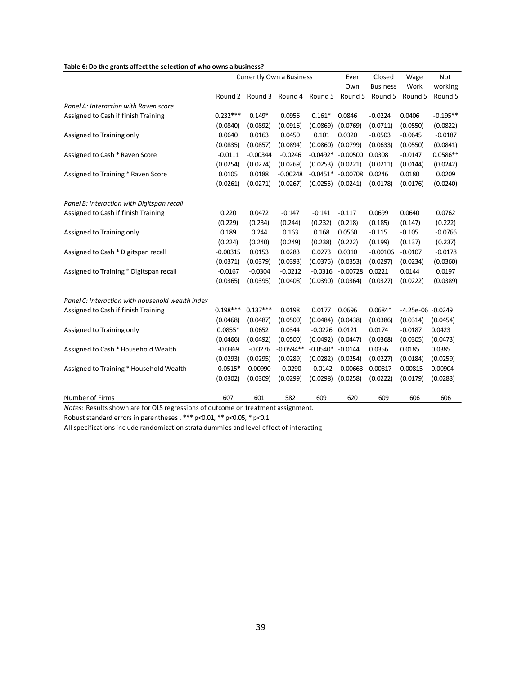| Table 6: Do the grants affect the selection of who owns a business?              |            |            |                                 |                       |                     |                 |                     |            |
|----------------------------------------------------------------------------------|------------|------------|---------------------------------|-----------------------|---------------------|-----------------|---------------------|------------|
|                                                                                  |            |            | <b>Currently Own a Business</b> |                       | Ever                | Closed          | Wage                | <b>Not</b> |
|                                                                                  |            |            |                                 |                       | Own                 | <b>Business</b> | Work                | working    |
|                                                                                  | Round 2    | Round 3    | Round 4                         | Round 5               | Round 5             | Round 5         | Round 5             | Round 5    |
| Panel A: Interaction with Raven score                                            |            |            |                                 |                       |                     |                 |                     |            |
| Assigned to Cash if finish Training                                              | $0.232***$ | $0.149*$   | 0.0956                          | $0.161*$              | 0.0846              | $-0.0224$       | 0.0406              | $-0.195**$ |
|                                                                                  | (0.0840)   | (0.0892)   | (0.0916)                        | (0.0869)              | (0.0769)            | (0.0711)        | (0.0550)            | (0.0822)   |
| Assigned to Training only                                                        | 0.0640     | 0.0163     | 0.0450                          | 0.101                 | 0.0320              | $-0.0503$       | $-0.0645$           | $-0.0187$  |
|                                                                                  | (0.0835)   | (0.0857)   | (0.0894)                        | $(0.0860)$ $(0.0799)$ |                     | (0.0633)        | (0.0550)            | (0.0841)   |
| Assigned to Cash * Raven Score                                                   | $-0.0111$  | $-0.00344$ | $-0.0246$                       |                       | $-0.0492* -0.00500$ | 0.0308          | $-0.0147$           | $0.0586**$ |
|                                                                                  | (0.0254)   | (0.0274)   | (0.0269)                        | (0.0253)              | (0.0221)            | (0.0211)        | (0.0144)            | (0.0242)   |
| Assigned to Training * Raven Score                                               | 0.0105     | 0.0188     | $-0.00248$                      |                       | $-0.0451* -0.00708$ | 0.0246          | 0.0180              | 0.0209     |
|                                                                                  | (0.0261)   | (0.0271)   | (0.0267)                        | $(0.0255)$ $(0.0241)$ |                     | (0.0178)        | (0.0176)            | (0.0240)   |
| Panel B: Interaction with Digitspan recall                                       |            |            |                                 |                       |                     |                 |                     |            |
| Assigned to Cash if finish Training                                              | 0.220      | 0.0472     | $-0.147$                        | $-0.141$              | $-0.117$            | 0.0699          | 0.0640              | 0.0762     |
|                                                                                  | (0.229)    | (0.234)    | (0.244)                         | (0.232)               | (0.218)             | (0.185)         | (0.147)             | (0.222)    |
| Assigned to Training only                                                        | 0.189      | 0.244      | 0.163                           | 0.168                 | 0.0560              | $-0.115$        | $-0.105$            | $-0.0766$  |
|                                                                                  | (0.224)    | (0.240)    | (0.249)                         | (0.238)               | (0.222)             | (0.199)         | (0.137)             | (0.237)    |
| Assigned to Cash * Digitspan recall                                              | $-0.00315$ | 0.0153     | 0.0283                          | 0.0273                | 0.0310              | $-0.00106$      | $-0.0107$           | $-0.0178$  |
|                                                                                  | (0.0371)   | (0.0379)   | (0.0393)                        | $(0.0375)$ $(0.0353)$ |                     | (0.0297)        | (0.0234)            | (0.0360)   |
| Assigned to Training * Digitspan recall                                          | $-0.0167$  | $-0.0304$  | $-0.0212$                       | $-0.0316$             | $-0.00728$          | 0.0221          | 0.0144              | 0.0197     |
|                                                                                  | (0.0365)   | (0.0395)   | (0.0408)                        | $(0.0390)$ $(0.0364)$ |                     | (0.0327)        | (0.0222)            | (0.0389)   |
| Panel C: Interaction with household wealth index                                 |            |            |                                 |                       |                     |                 |                     |            |
| Assigned to Cash if finish Training                                              | $0.198***$ | $0.137***$ | 0.0198                          | 0.0177                | 0.0696              | $0.0684*$       | $-4.25e-06 -0.0249$ |            |
|                                                                                  | (0.0468)   | (0.0487)   | (0.0500)                        | (0.0484)              | (0.0438)            | (0.0386)        | (0.0314)            | (0.0454)   |
| Assigned to Training only                                                        | $0.0855*$  | 0.0652     | 0.0344                          | $-0.0226$ $0.0121$    |                     | 0.0174          | $-0.0187$           | 0.0423     |
|                                                                                  | (0.0466)   | (0.0492)   | (0.0500)                        | (0.0492)              | (0.0447)            | (0.0368)        | (0.0305)            | (0.0473)   |
| Assigned to Cash * Household Wealth                                              | $-0.0369$  | $-0.0276$  | $-0.0594**$                     | $-0.0540* -0.0144$    |                     | 0.0356          | 0.0185              | 0.0385     |
|                                                                                  | (0.0293)   | (0.0295)   | (0.0289)                        | (0.0282)              | (0.0254)            | (0.0227)        | (0.0184)            | (0.0259)   |
| Assigned to Training * Household Wealth                                          | $-0.0515*$ | 0.00990    | $-0.0290$                       | $-0.0142$             | $-0.00663$          | 0.00817         | 0.00815             | 0.00904    |
|                                                                                  | (0.0302)   | (0.0309)   | (0.0299)                        | $(0.0298)$ $(0.0258)$ |                     | (0.0222)        | (0.0179)            | (0.0283)   |
| Number of Firms                                                                  | 607        | 601        | 582                             | 609                   | 620                 | 609             | 606                 | 606        |
| Notes: Results shown are for OLS regressions of outcome on treatment assignment. |            |            |                                 |                       |                     |                 |                     |            |
|                                                                                  |            |            |                                 |                       |                     |                 |                     |            |

#### **Table 6: Do the grants affect the selection of who owns a business?**

Robust standard errors in parentheses , \*\*\* p<0.01, \*\* p<0.05, \* p<0.1

All specifications include randomization strata dummies and level effect of interacting